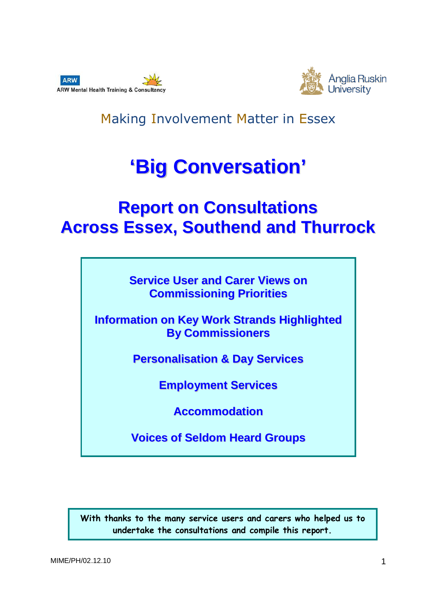



Making Involvement Matter in Essex

# **'Big Conversation'**

# **Report on Consultations Across Essex, Southend and Thurrock**

**Service User and Carer Views on Commissioning Priorities**

**Information on Key Work Strands Highlighted By Commissioners**

**Personalisation & Day Services**

**Employment Services**

**Accommodation**

**Voices of Seldom Heard Groups**

With thanks to the many service users and carers who helped us to undertake the consultations and compile this report.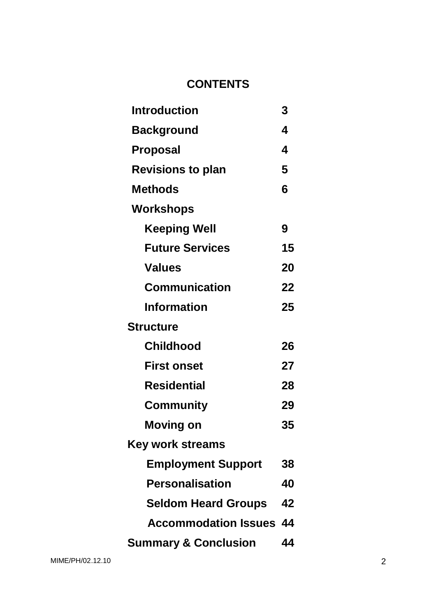# **CONTENTS**

| <b>Introduction</b>             | 3  |
|---------------------------------|----|
| <b>Background</b>               | 4  |
| <b>Proposal</b>                 | 4  |
| <b>Revisions to plan</b>        | 5  |
| <b>Methods</b>                  | 6  |
| Workshops                       |    |
| <b>Keeping Well</b>             | 9  |
| <b>Future Services</b>          | 15 |
| <b>Values</b>                   | 20 |
| <b>Communication</b>            | 22 |
| <b>Information</b>              | 25 |
| <b>Structure</b>                |    |
| <b>Childhood</b>                | 26 |
| <b>First onset</b>              | 27 |
| <b>Residential</b>              | 28 |
| <b>Community</b>                | 29 |
| <b>Moving on</b>                | 35 |
| Key work streams                |    |
| <b>Employment Support</b>       | 38 |
| <b>Personalisation</b>          | 40 |
| <b>Seldom Heard Groups</b>      | 42 |
| <b>Accommodation Issues</b>     | 44 |
| <b>Summary &amp; Conclusion</b> | 44 |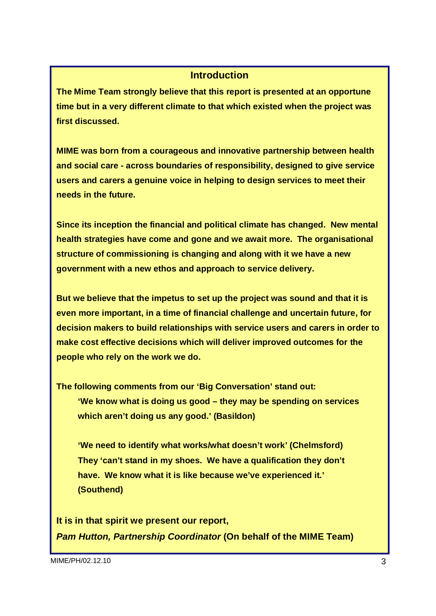#### **Introduction**

**The Mime Team strongly believe that this report is presented at an opportune time but in a very different climate to that which existed when the project was first discussed.** 

**MIME was born from a courageous and innovative partnership between health and social care - across boundaries of responsibility, designed to give service users and carers a genuine voice in helping to design services to meet their needs in the future.** 

**Since its inception the financial and political climate has changed. New mental health strategies have come and gone and we await more. The organisational structure of commissioning is changing and along with it we have a new government with a new ethos and approach to service delivery.** 

**But we believe that the impetus to set up the project was sound and that it is even more important, in a time of financial challenge and uncertain future, for decision makers to build relationships with service users and carers in order to make cost effective decisions which will deliver improved outcomes for the people who rely on the work we do.** 

**The following comments from our 'Big Conversation' stand out:** 

**'We know what is doing us good – they may be spending on services which aren't doing us any good.' (Basildon)** 

**'We need to identify what works/what doesn't work' (Chelmsford) They 'can't stand in my shoes. We have a qualification they don't have. We know what it is like because we've experienced it.' (Southend)** 

**It is in that spirit we present our report, Pam Hutton, Partnership Coordinator (On behalf of the MIME Team)**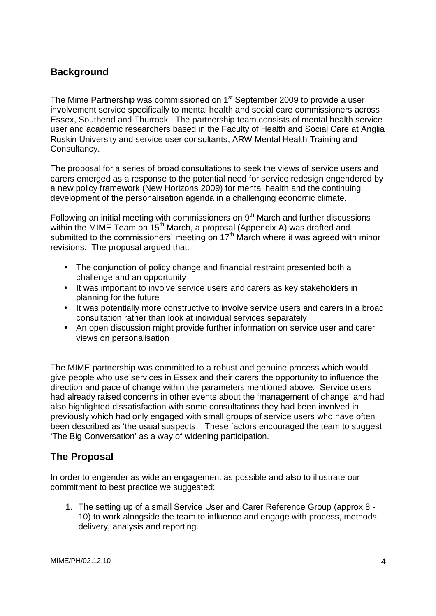# **Background**

The Mime Partnership was commissioned on 1<sup>st</sup> September 2009 to provide a user involvement service specifically to mental health and social care commissioners across Essex, Southend and Thurrock. The partnership team consists of mental health service user and academic researchers based in the Faculty of Health and Social Care at Anglia Ruskin University and service user consultants, ARW Mental Health Training and Consultancy.

The proposal for a series of broad consultations to seek the views of service users and carers emerged as a response to the potential need for service redesign engendered by a new policy framework (New Horizons 2009) for mental health and the continuing development of the personalisation agenda in a challenging economic climate.

Following an initial meeting with commissioners on  $9<sup>th</sup>$  March and further discussions within the MIME Team on 15<sup>th</sup> March, a proposal (Appendix A) was drafted and submitted to the commissioners' meeting on  $17<sup>th</sup>$  March where it was agreed with minor revisions. The proposal argued that:

- The conjunction of policy change and financial restraint presented both a challenge and an opportunity
- It was important to involve service users and carers as key stakeholders in planning for the future
- It was potentially more constructive to involve service users and carers in a broad consultation rather than look at individual services separately
- An open discussion might provide further information on service user and carer views on personalisation

The MIME partnership was committed to a robust and genuine process which would give people who use services in Essex and their carers the opportunity to influence the direction and pace of change within the parameters mentioned above. Service users had already raised concerns in other events about the 'management of change' and had also highlighted dissatisfaction with some consultations they had been involved in previously which had only engaged with small groups of service users who have often been described as 'the usual suspects.' These factors encouraged the team to suggest 'The Big Conversation' as a way of widening participation.

# **The Proposal**

In order to engender as wide an engagement as possible and also to illustrate our commitment to best practice we suggested:

1. The setting up of a small Service User and Carer Reference Group (approx 8 - 10) to work alongside the team to influence and engage with process, methods, delivery, analysis and reporting.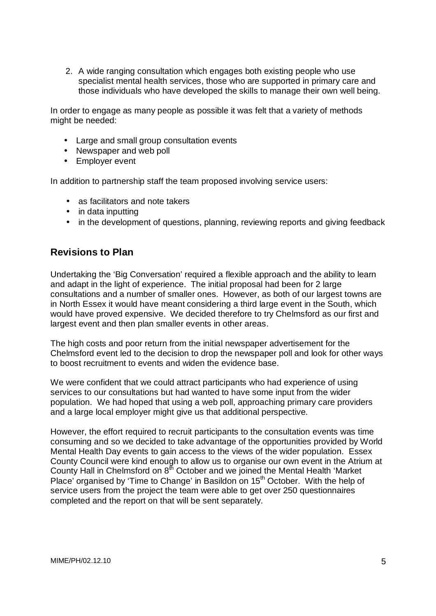2. A wide ranging consultation which engages both existing people who use specialist mental health services, those who are supported in primary care and those individuals who have developed the skills to manage their own well being.

In order to engage as many people as possible it was felt that a variety of methods might be needed:

- Large and small group consultation events
- Newspaper and web poll
- Employer event

In addition to partnership staff the team proposed involving service users:

- as facilitators and note takers
- in data inputting
- in the development of questions, planning, reviewing reports and giving feedback

### **Revisions to Plan**

Undertaking the 'Big Conversation' required a flexible approach and the ability to learn and adapt in the light of experience. The initial proposal had been for 2 large consultations and a number of smaller ones. However, as both of our largest towns are in North Essex it would have meant considering a third large event in the South, which would have proved expensive. We decided therefore to try Chelmsford as our first and largest event and then plan smaller events in other areas.

The high costs and poor return from the initial newspaper advertisement for the Chelmsford event led to the decision to drop the newspaper poll and look for other ways to boost recruitment to events and widen the evidence base.

We were confident that we could attract participants who had experience of using services to our consultations but had wanted to have some input from the wider population. We had hoped that using a web poll, approaching primary care providers and a large local employer might give us that additional perspective.

However, the effort required to recruit participants to the consultation events was time consuming and so we decided to take advantage of the opportunities provided by World Mental Health Day events to gain access to the views of the wider population. Essex County Council were kind enough to allow us to organise our own event in the Atrium at County Hall in Chelmsford on  $8<sup>th</sup>$  October and we joined the Mental Health 'Market Place' organised by 'Time to Change' in Basildon on 15<sup>th</sup> October. With the help of service users from the project the team were able to get over 250 questionnaires completed and the report on that will be sent separately.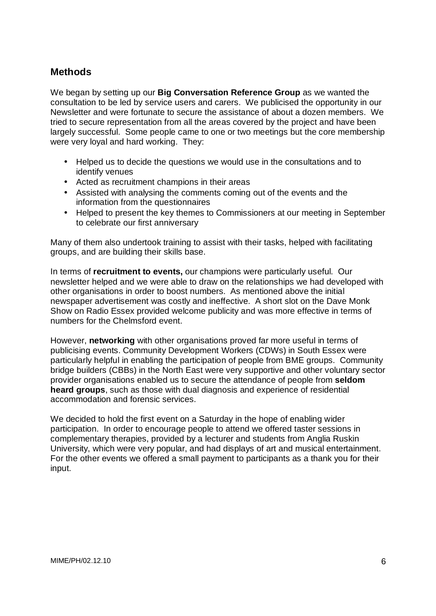# **Methods**

We began by setting up our **Big Conversation Reference Group** as we wanted the consultation to be led by service users and carers. We publicised the opportunity in our Newsletter and were fortunate to secure the assistance of about a dozen members. We tried to secure representation from all the areas covered by the project and have been largely successful. Some people came to one or two meetings but the core membership were very loyal and hard working. They:

- Helped us to decide the questions we would use in the consultations and to identify venues
- Acted as recruitment champions in their areas
- Assisted with analysing the comments coming out of the events and the information from the questionnaires
- Helped to present the key themes to Commissioners at our meeting in September to celebrate our first anniversary

Many of them also undertook training to assist with their tasks, helped with facilitating groups, and are building their skills base.

In terms of **recruitment to events,** our champions were particularly useful. Our newsletter helped and we were able to draw on the relationships we had developed with other organisations in order to boost numbers. As mentioned above the initial newspaper advertisement was costly and ineffective. A short slot on the Dave Monk Show on Radio Essex provided welcome publicity and was more effective in terms of numbers for the Chelmsford event.

However, **networking** with other organisations proved far more useful in terms of publicising events. Community Development Workers (CDWs) in South Essex were particularly helpful in enabling the participation of people from BME groups. Community bridge builders (CBBs) in the North East were very supportive and other voluntary sector provider organisations enabled us to secure the attendance of people from **seldom heard groups**, such as those with dual diagnosis and experience of residential accommodation and forensic services.

We decided to hold the first event on a Saturday in the hope of enabling wider participation. In order to encourage people to attend we offered taster sessions in complementary therapies, provided by a lecturer and students from Anglia Ruskin University, which were very popular, and had displays of art and musical entertainment. For the other events we offered a small payment to participants as a thank you for their input.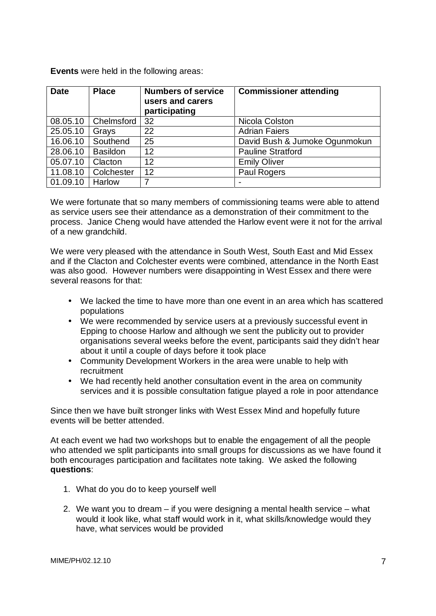**Events** were held in the following areas:

| <b>Date</b> | <b>Place</b>    | <b>Numbers of service</b><br>users and carers<br>participating | <b>Commissioner attending</b> |
|-------------|-----------------|----------------------------------------------------------------|-------------------------------|
| 08.05.10    | Chelmsford      | 32                                                             | Nicola Colston                |
| 25.05.10    | Grays           | 22                                                             | <b>Adrian Faiers</b>          |
| 16.06.10    | Southend        | 25                                                             | David Bush & Jumoke Ogunmokun |
| 28.06.10    | <b>Basildon</b> | 12                                                             | <b>Pauline Stratford</b>      |
| 05.07.10    | Clacton         | 12                                                             | <b>Emily Oliver</b>           |
| 11.08.10    | Colchester      | 12                                                             | Paul Rogers                   |
| 01.09.10    | Harlow          | 7                                                              |                               |

We were fortunate that so many members of commissioning teams were able to attend as service users see their attendance as a demonstration of their commitment to the process. Janice Cheng would have attended the Harlow event were it not for the arrival of a new grandchild.

We were very pleased with the attendance in South West, South East and Mid Essex and if the Clacton and Colchester events were combined, attendance in the North East was also good. However numbers were disappointing in West Essex and there were several reasons for that:

- We lacked the time to have more than one event in an area which has scattered populations
- We were recommended by service users at a previously successful event in Epping to choose Harlow and although we sent the publicity out to provider organisations several weeks before the event, participants said they didn't hear about it until a couple of days before it took place
- Community Development Workers in the area were unable to help with recruitment
- We had recently held another consultation event in the area on community services and it is possible consultation fatigue played a role in poor attendance

Since then we have built stronger links with West Essex Mind and hopefully future events will be better attended.

At each event we had two workshops but to enable the engagement of all the people who attended we split participants into small groups for discussions as we have found it both encourages participation and facilitates note taking. We asked the following **questions**:

- 1. What do you do to keep yourself well
- 2. We want you to dream if you were designing a mental health service what would it look like, what staff would work in it, what skills/knowledge would they have, what services would be provided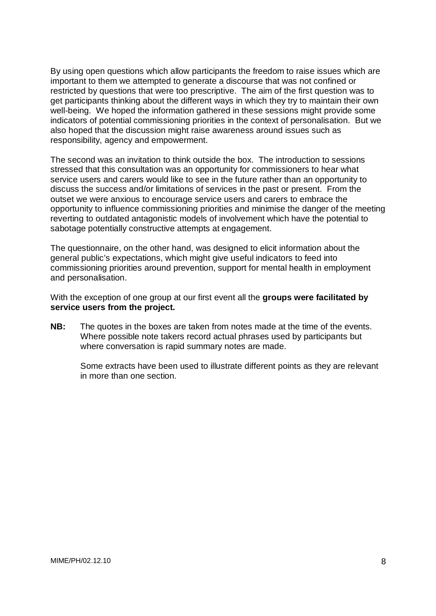By using open questions which allow participants the freedom to raise issues which are important to them we attempted to generate a discourse that was not confined or restricted by questions that were too prescriptive. The aim of the first question was to get participants thinking about the different ways in which they try to maintain their own well-being. We hoped the information gathered in these sessions might provide some indicators of potential commissioning priorities in the context of personalisation. But we also hoped that the discussion might raise awareness around issues such as responsibility, agency and empowerment.

The second was an invitation to think outside the box. The introduction to sessions stressed that this consultation was an opportunity for commissioners to hear what service users and carers would like to see in the future rather than an opportunity to discuss the success and/or limitations of services in the past or present. From the outset we were anxious to encourage service users and carers to embrace the opportunity to influence commissioning priorities and minimise the danger of the meeting reverting to outdated antagonistic models of involvement which have the potential to sabotage potentially constructive attempts at engagement.

The questionnaire, on the other hand, was designed to elicit information about the general public's expectations, which might give useful indicators to feed into commissioning priorities around prevention, support for mental health in employment and personalisation.

With the exception of one group at our first event all the **groups were facilitated by service users from the project.** 

**NB:** The quotes in the boxes are taken from notes made at the time of the events. Where possible note takers record actual phrases used by participants but where conversation is rapid summary notes are made.

 Some extracts have been used to illustrate different points as they are relevant in more than one section.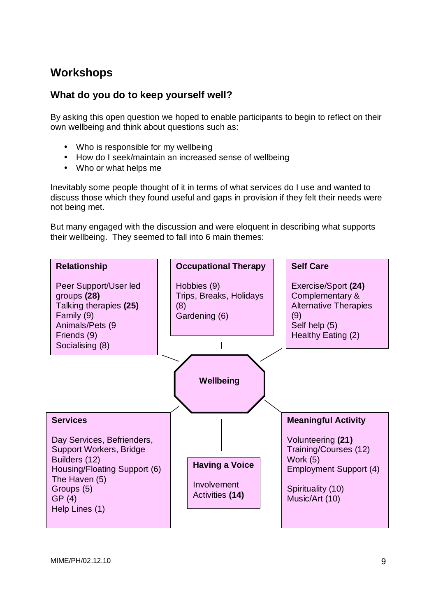# **Workshops**

## **What do you do to keep yourself well?**

By asking this open question we hoped to enable participants to begin to reflect on their own wellbeing and think about questions such as:

- Who is responsible for my wellbeing
- How do I seek/maintain an increased sense of wellbeing
- Who or what helps me

Inevitably some people thought of it in terms of what services do I use and wanted to discuss those which they found useful and gaps in provision if they felt their needs were not being met.

But many engaged with the discussion and were eloquent in describing what supports their wellbeing. They seemed to fall into 6 main themes:

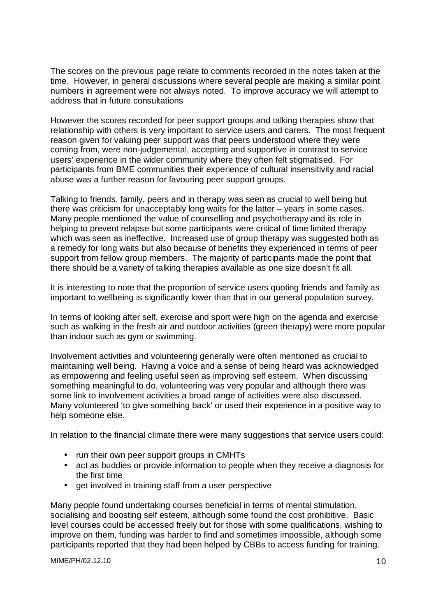The scores on the previous page relate to comments recorded in the notes taken at the time. However, in general discussions where several people are making a similar point numbers in agreement were not always noted. To improve accuracy we will attempt to address that in future consultations

However the scores recorded for peer support groups and talking therapies show that relationship with others is very important to service users and carers. The most frequent reason given for valuing peer support was that peers understood where they were coming from, were non-judgemental, accepting and supportive in contrast to service users' experience in the wider community where they often felt stigmatised. For participants from BME communities their experience of cultural insensitivity and racial abuse was a further reason for favouring peer support groups.

Talking to friends, family, peers and in therapy was seen as crucial to well being but there was criticism for unacceptably long waits for the latter – years in some cases. Many people mentioned the value of counselling and psychotherapy and its role in helping to prevent relapse but some participants were critical of time limited therapy which was seen as ineffective. Increased use of group therapy was suggested both as a remedy for long waits but also because of benefits they experienced in terms of peer support from fellow group members. The majority of participants made the point that there should be a variety of talking therapies available as one size doesn't fit all.

It is interesting to note that the proportion of service users quoting friends and family as important to wellbeing is significantly lower than that in our general population survey.

In terms of looking after self, exercise and sport were high on the agenda and exercise such as walking in the fresh air and outdoor activities (green therapy) were more popular than indoor such as gym or swimming.

Involvement activities and volunteering generally were often mentioned as crucial to maintaining well being. Having a voice and a sense of being heard was acknowledged as empowering and feeling useful seen as improving self esteem. When discussing something meaningful to do, volunteering was very popular and although there was some link to involvement activities a broad range of activities were also discussed. Many volunteered 'to give something back' or used their experience in a positive way to help someone else.

In relation to the financial climate there were many suggestions that service users could:

- run their own peer support groups in CMHTs
- act as buddies or provide information to people when they receive a diagnosis for the first time
- get involved in training staff from a user perspective

Many people found undertaking courses beneficial in terms of mental stimulation, socialising and boosting self esteem, although some found the cost prohibitive. Basic level courses could be accessed freely but for those with some qualifications, wishing to improve on them, funding was harder to find and sometimes impossible, although some participants reported that they had been helped by CBBs to access funding for training.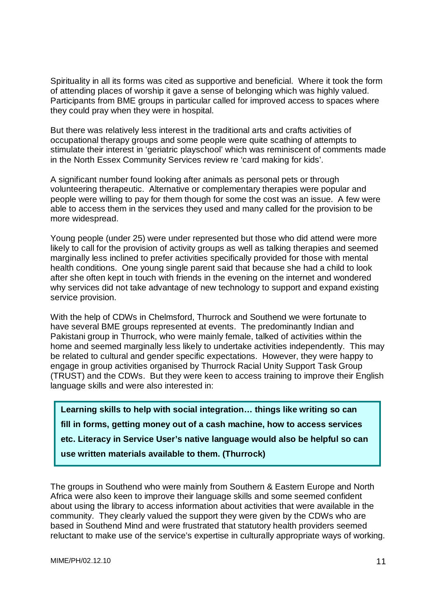Spirituality in all its forms was cited as supportive and beneficial. Where it took the form of attending places of worship it gave a sense of belonging which was highly valued. Participants from BME groups in particular called for improved access to spaces where they could pray when they were in hospital.

But there was relatively less interest in the traditional arts and crafts activities of occupational therapy groups and some people were quite scathing of attempts to stimulate their interest in 'geriatric playschool' which was reminiscent of comments made in the North Essex Community Services review re 'card making for kids'.

A significant number found looking after animals as personal pets or through volunteering therapeutic. Alternative or complementary therapies were popular and people were willing to pay for them though for some the cost was an issue. A few were able to access them in the services they used and many called for the provision to be more widespread.

Young people (under 25) were under represented but those who did attend were more likely to call for the provision of activity groups as well as talking therapies and seemed marginally less inclined to prefer activities specifically provided for those with mental health conditions. One young single parent said that because she had a child to look after she often kept in touch with friends in the evening on the internet and wondered why services did not take advantage of new technology to support and expand existing service provision.

With the help of CDWs in Chelmsford, Thurrock and Southend we were fortunate to have several BME groups represented at events. The predominantly Indian and Pakistani group in Thurrock, who were mainly female, talked of activities within the home and seemed marginally less likely to undertake activities independently. This may be related to cultural and gender specific expectations. However, they were happy to engage in group activities organised by Thurrock Racial Unity Support Task Group (TRUST) and the CDWs. But they were keen to access training to improve their English language skills and were also interested in:

**Learning skills to help with social integration… things like writing so can fill in forms, getting money out of a cash machine, how to access services etc. Literacy in Service User's native language would also be helpful so can use written materials available to them. (Thurrock)**

The groups in Southend who were mainly from Southern & Eastern Europe and North Africa were also keen to improve their language skills and some seemed confident about using the library to access information about activities that were available in the community. They clearly valued the support they were given by the CDWs who are based in Southend Mind and were frustrated that statutory health providers seemed reluctant to make use of the service's expertise in culturally appropriate ways of working.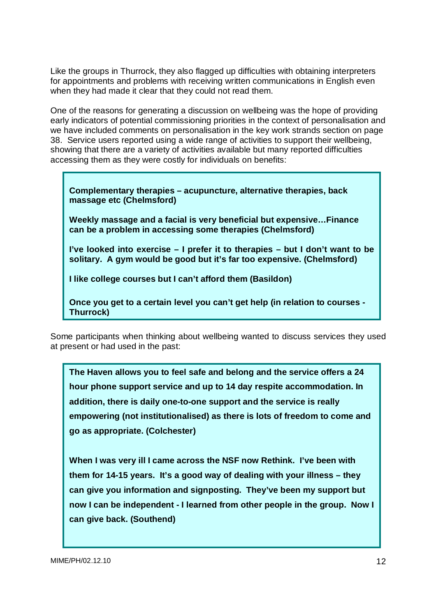Like the groups in Thurrock, they also flagged up difficulties with obtaining interpreters for appointments and problems with receiving written communications in English even when they had made it clear that they could not read them.

One of the reasons for generating a discussion on wellbeing was the hope of providing early indicators of potential commissioning priorities in the context of personalisation and we have included comments on personalisation in the key work strands section on page 38. Service users reported using a wide range of activities to support their wellbeing, showing that there are a variety of activities available but many reported difficulties accessing them as they were costly for individuals on benefits:

**Complementary therapies – acupuncture, alternative therapies, back massage etc (Chelmsford)** 

**Weekly massage and a facial is very beneficial but expensive…Finance can be a problem in accessing some therapies (Chelmsford)** 

**I've looked into exercise – I prefer it to therapies – but I don't want to be solitary. A gym would be good but it's far too expensive. (Chelmsford)** 

**I like college courses but I can't afford them (Basildon)** 

**Once you get to a certain level you can't get help (in relation to courses - Thurrock)**

Some participants when thinking about wellbeing wanted to discuss services they used at present or had used in the past:

**The Haven allows you to feel safe and belong and the service offers a 24 hour phone support service and up to 14 day respite accommodation. In addition, there is daily one-to-one support and the service is really empowering (not institutionalised) as there is lots of freedom to come and go as appropriate. (Colchester)** 

**When I was very ill I came across the NSF now Rethink. I've been with them for 14-15 years. It's a good way of dealing with your illness – they can give you information and signposting. They've been my support but now I can be independent - I learned from other people in the group. Now I can give back. (Southend)**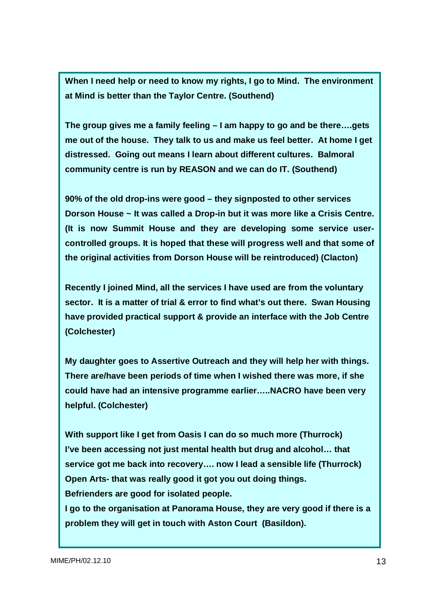**When I need help or need to know my rights, I go to Mind. The environment at Mind is better than the Taylor Centre. (Southend)** 

**The group gives me a family feeling – I am happy to go and be there….gets me out of the house. They talk to us and make us feel better. At home I get distressed. Going out means I learn about different cultures. Balmoral community centre is run by REASON and we can do IT. (Southend)** 

**90% of the old drop-ins were good – they signposted to other services Dorson House ~ It was called a Drop-in but it was more like a Crisis Centre. (It is now Summit House and they are developing some service usercontrolled groups. It is hoped that these will progress well and that some of the original activities from Dorson House will be reintroduced) (Clacton)** 

**Recently I joined Mind, all the services I have used are from the voluntary sector. It is a matter of trial & error to find what's out there. Swan Housing have provided practical support & provide an interface with the Job Centre (Colchester)** 

**My daughter goes to Assertive Outreach and they will help her with things. There are/have been periods of time when I wished there was more, if she could have had an intensive programme earlier…..NACRO have been very helpful. (Colchester)** 

**With support like I get from Oasis I can do so much more (Thurrock) I've been accessing not just mental health but drug and alcohol… that service got me back into recovery…. now I lead a sensible life (Thurrock) Open Arts- that was really good it got you out doing things. Befrienders are good for isolated people.** 

**I go to the organisation at Panorama House, they are very good if there is a problem they will get in touch with Aston Court (Basildon).**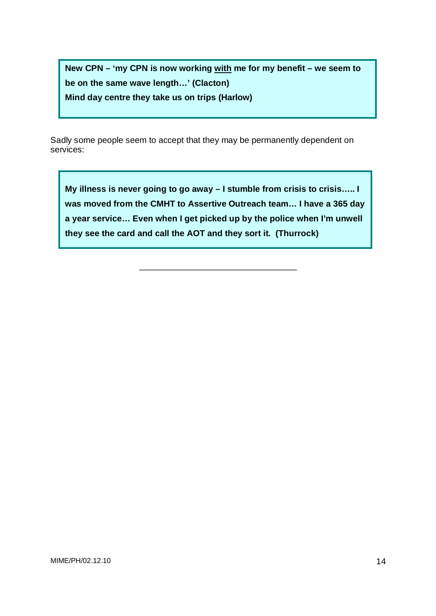**New CPN – 'my CPN is now working with me for my benefit – we seem to be on the same wave length…' (Clacton) Mind day centre they take us on trips (Harlow)** 

Sadly some people seem to accept that they may be permanently dependent on services:

**My illness is never going to go away – I stumble from crisis to crisis….. I was moved from the CMHT to Assertive Outreach team… I have a 365 day a year service… Even when I get picked up by the police when I'm unwell they see the card and call the AOT and they sort it. (Thurrock)** 

\_\_\_\_\_\_\_\_\_\_\_\_\_\_\_\_\_\_\_\_\_\_\_\_\_\_\_\_\_\_\_\_\_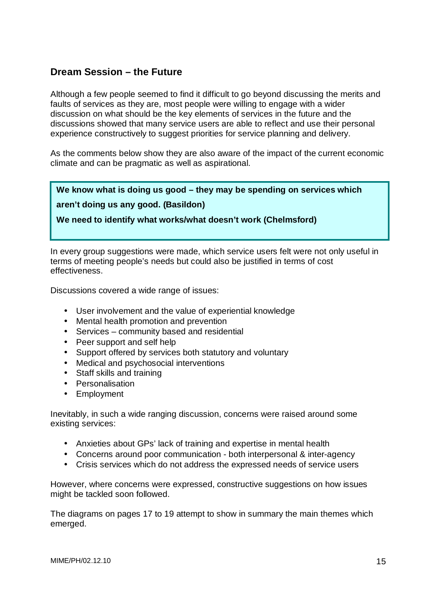# **Dream Session – the Future**

Although a few people seemed to find it difficult to go beyond discussing the merits and faults of services as they are, most people were willing to engage with a wider discussion on what should be the key elements of services in the future and the discussions showed that many service users are able to reflect and use their personal experience constructively to suggest priorities for service planning and delivery.

As the comments below show they are also aware of the impact of the current economic climate and can be pragmatic as well as aspirational.

# **We know what is doing us good – they may be spending on services which**

#### **aren't doing us any good. (Basildon)**

**We need to identify what works/what doesn't work (Chelmsford)** 

In every group suggestions were made, which service users felt were not only useful in terms of meeting people's needs but could also be justified in terms of cost effectiveness.

Discussions covered a wide range of issues:

- User involvement and the value of experiential knowledge
- Mental health promotion and prevention
- Services community based and residential
- Peer support and self help
- Support offered by services both statutory and voluntary
- Medical and psychosocial interventions
- Staff skills and training
- Personalisation
- Employment

Inevitably, in such a wide ranging discussion, concerns were raised around some existing services:

- Anxieties about GPs' lack of training and expertise in mental health
- Concerns around poor communication both interpersonal & inter-agency
- Crisis services which do not address the expressed needs of service users

However, where concerns were expressed, constructive suggestions on how issues might be tackled soon followed.

The diagrams on pages 17 to 19 attempt to show in summary the main themes which emerged.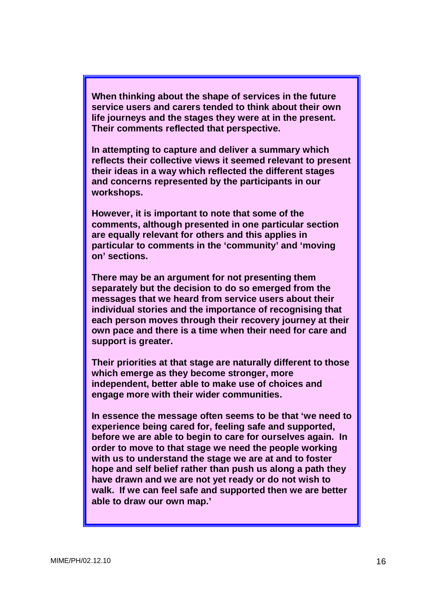**When thinking about the shape of services in the future service users and carers tended to think about their own life journeys and the stages they were at in the present. Their comments reflected that perspective.** 

**In attempting to capture and deliver a summary which reflects their collective views it seemed relevant to present their ideas in a way which reflected the different stages and concerns represented by the participants in our workshops.** 

**However, it is important to note that some of the comments, although presented in one particular section are equally relevant for others and this applies in particular to comments in the 'community' and 'moving on' sections.** 

**There may be an argument for not presenting them separately but the decision to do so emerged from the messages that we heard from service users about their individual stories and the importance of recognising that each person moves through their recovery journey at their own pace and there is a time when their need for care and support is greater.** 

**Their priorities at that stage are naturally different to those which emerge as they become stronger, more independent, better able to make use of choices and engage more with their wider communities.** 

**In essence the message often seems to be that 'we need to experience being cared for, feeling safe and supported, before we are able to begin to care for ourselves again. In order to move to that stage we need the people working with us to understand the stage we are at and to foster hope and self belief rather than push us along a path they have drawn and we are not yet ready or do not wish to walk. If we can feel safe and supported then we are better able to draw our own map.'**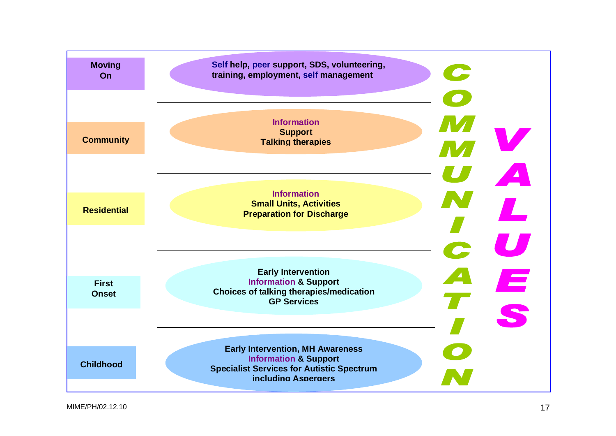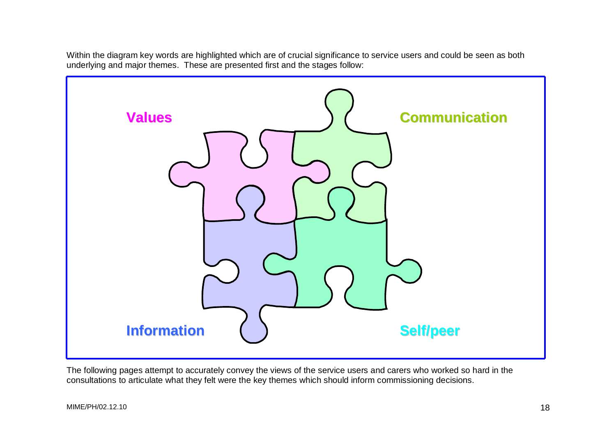Within the diagram key words are highlighted which are of crucial significance to service users and could be seen as both underlying and major themes. These are presented first and the stages follow:



The following pages attempt to accurately convey the views of the service users and carers who worked so hard in the consultations to articulate what they felt were the key themes which should inform commissioning decisions.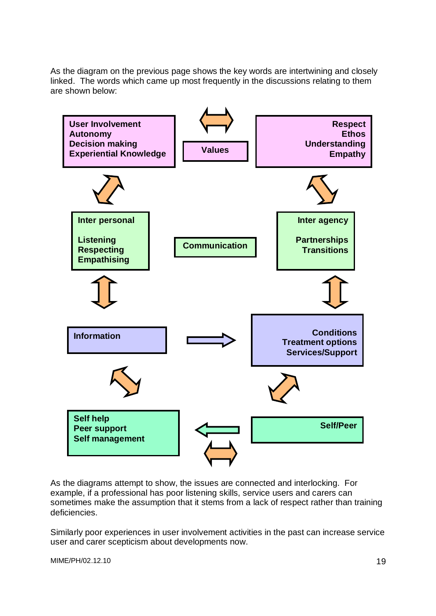As the diagram on the previous page shows the key words are intertwining and closely linked. The words which came up most frequently in the discussions relating to them are shown below:



As the diagrams attempt to show, the issues are connected and interlocking. For example, if a professional has poor listening skills, service users and carers can sometimes make the assumption that it stems from a lack of respect rather than training deficiencies.

Similarly poor experiences in user involvement activities in the past can increase service user and carer scepticism about developments now.

MIME/PH/02.12.10 2012 2022 19:00:00 20:00 20:00 20:00 20:00 20:00 20:00 20:00 20:00 20:00 20:00 20:00 20:00 20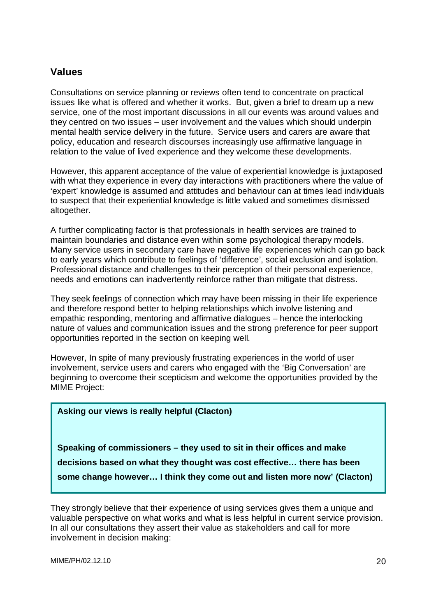#### **Values**

Consultations on service planning or reviews often tend to concentrate on practical issues like what is offered and whether it works. But, given a brief to dream up a new service, one of the most important discussions in all our events was around values and they centred on two issues – user involvement and the values which should underpin mental health service delivery in the future. Service users and carers are aware that policy, education and research discourses increasingly use affirmative language in relation to the value of lived experience and they welcome these developments.

However, this apparent acceptance of the value of experiential knowledge is juxtaposed with what they experience in every day interactions with practitioners where the value of 'expert' knowledge is assumed and attitudes and behaviour can at times lead individuals to suspect that their experiential knowledge is little valued and sometimes dismissed altogether.

A further complicating factor is that professionals in health services are trained to maintain boundaries and distance even within some psychological therapy models. Many service users in secondary care have negative life experiences which can go back to early years which contribute to feelings of 'difference', social exclusion and isolation. Professional distance and challenges to their perception of their personal experience, needs and emotions can inadvertently reinforce rather than mitigate that distress.

They seek feelings of connection which may have been missing in their life experience and therefore respond better to helping relationships which involve listening and empathic responding, mentoring and affirmative dialogues – hence the interlocking nature of values and communication issues and the strong preference for peer support opportunities reported in the section on keeping well.

However, In spite of many previously frustrating experiences in the world of user involvement, service users and carers who engaged with the 'Big Conversation' are beginning to overcome their scepticism and welcome the opportunities provided by the MIME Project:

#### **Asking our views is really helpful (Clacton)**

**Speaking of commissioners – they used to sit in their offices and make decisions based on what they thought was cost effective… there has been some change however… I think they come out and listen more now' (Clacton)** 

They strongly believe that their experience of using services gives them a unique and valuable perspective on what works and what is less helpful in current service provision. In all our consultations they assert their value as stakeholders and call for more involvement in decision making:

MIME/PH/02.12.10 20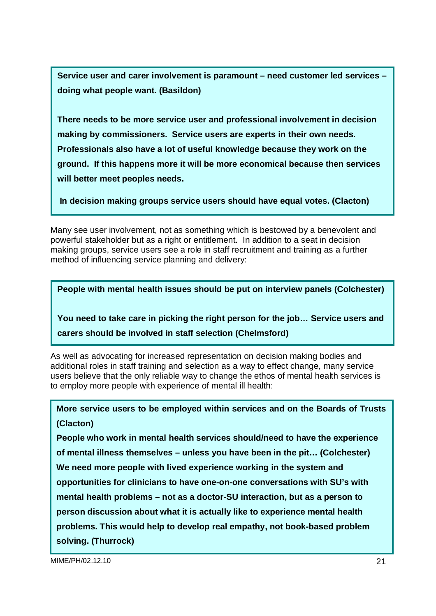**Service user and carer involvement is paramount – need customer led services – doing what people want. (Basildon)** 

**There needs to be more service user and professional involvement in decision making by commissioners. Service users are experts in their own needs. Professionals also have a lot of useful knowledge because they work on the ground. If this happens more it will be more economical because then services will better meet peoples needs.** 

**In decision making groups service users should have equal votes. (Clacton)**

Many see user involvement, not as something which is bestowed by a benevolent and powerful stakeholder but as a right or entitlement. In addition to a seat in decision making groups, service users see a role in staff recruitment and training as a further method of influencing service planning and delivery:

**People with mental health issues should be put on interview panels (Colchester)**

**You need to take care in picking the right person for the job… Service users and carers should be involved in staff selection (Chelmsford)** 

As well as advocating for increased representation on decision making bodies and additional roles in staff training and selection as a way to effect change, many service users believe that the only reliable way to change the ethos of mental health services is to employ more people with experience of mental ill health:

**More service users to be employed within services and on the Boards of Trusts (Clacton)** 

**People who work in mental health services should/need to have the experience of mental illness themselves – unless you have been in the pit… (Colchester) We need more people with lived experience working in the system and opportunities for clinicians to have one-on-one conversations with SU's with mental health problems – not as a doctor-SU interaction, but as a person to person discussion about what it is actually like to experience mental health problems. This would help to develop real empathy, not book-based problem solving. (Thurrock)**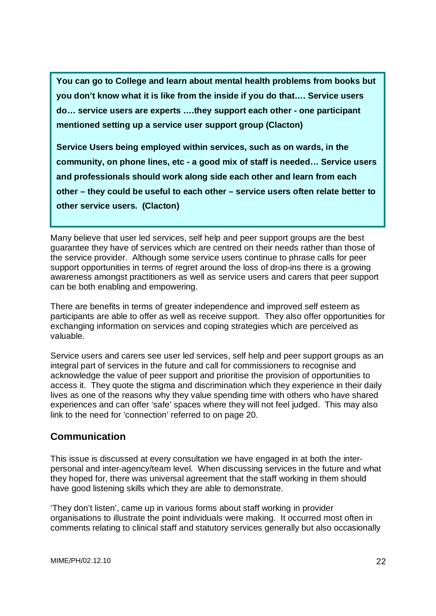**You can go to College and learn about mental health problems from books but you don't know what it is like from the inside if you do that…. Service users do… service users are experts ….they support each other - one participant mentioned setting up a service user support group (Clacton)** 

**Service Users being employed within services, such as on wards, in the community, on phone lines, etc - a good mix of staff is needed… Service users and professionals should work along side each other and learn from each other – they could be useful to each other – service users often relate better to other service users. (Clacton)** 

Many believe that user led services, self help and peer support groups are the best guarantee they have of services which are centred on their needs rather than those of the service provider. Although some service users continue to phrase calls for peer support opportunities in terms of regret around the loss of drop-ins there is a growing awareness amongst practitioners as well as service users and carers that peer support can be both enabling and empowering.

There are benefits in terms of greater independence and improved self esteem as participants are able to offer as well as receive support. They also offer opportunities for exchanging information on services and coping strategies which are perceived as valuable.

Service users and carers see user led services, self help and peer support groups as an integral part of services in the future and call for commissioners to recognise and acknowledge the value of peer support and prioritise the provision of opportunities to access it. They quote the stigma and discrimination which they experience in their daily lives as one of the reasons why they value spending time with others who have shared experiences and can offer 'safe' spaces where they will not feel judged. This may also link to the need for 'connection' referred to on page 20.

# **Communication**

This issue is discussed at every consultation we have engaged in at both the interpersonal and inter-agency/team level. When discussing services in the future and what they hoped for, there was universal agreement that the staff working in them should have good listening skills which they are able to demonstrate.

'They don't listen', came up in various forms about staff working in provider organisations to illustrate the point individuals were making. It occurred most often in comments relating to clinical staff and statutory services generally but also occasionally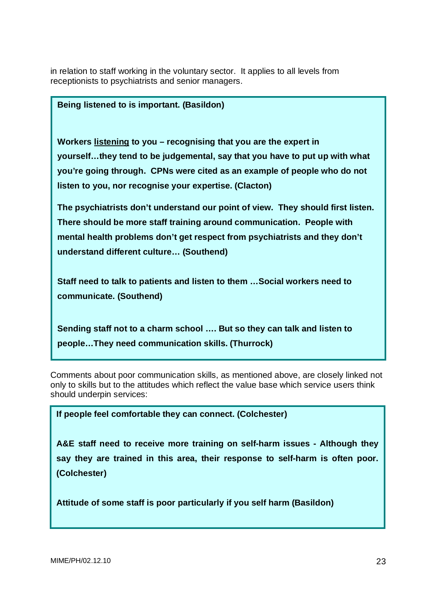in relation to staff working in the voluntary sector. It applies to all levels from receptionists to psychiatrists and senior managers.

#### **Being listened to is important. (Basildon)**

**Workers listening to you – recognising that you are the expert in yourself…they tend to be judgemental, say that you have to put up with what you're going through. CPNs were cited as an example of people who do not listen to you, nor recognise your expertise. (Clacton)** 

**The psychiatrists don't understand our point of view. They should first listen. There should be more staff training around communication. People with mental health problems don't get respect from psychiatrists and they don't understand different culture… (Southend)** 

**Staff need to talk to patients and listen to them …Social workers need to communicate. (Southend)** 

**Sending staff not to a charm school …. But so they can talk and listen to people…They need communication skills. (Thurrock)** 

Comments about poor communication skills, as mentioned above, are closely linked not only to skills but to the attitudes which reflect the value base which service users think should underpin services:

**If people feel comfortable they can connect. (Colchester)**

**A&E staff need to receive more training on self-harm issues - Although they say they are trained in this area, their response to self-harm is often poor. (Colchester)** 

**Attitude of some staff is poor particularly if you self harm (Basildon)**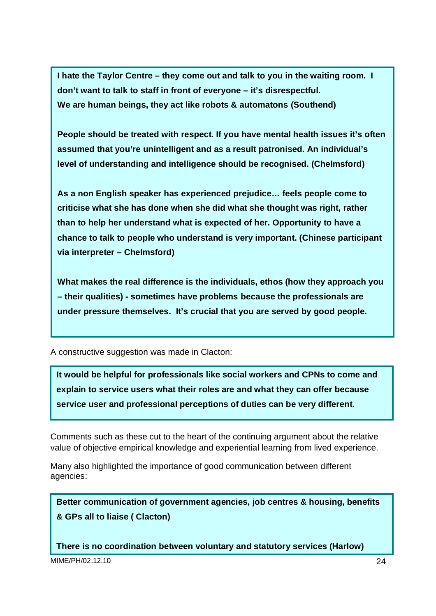**I hate the Taylor Centre – they come out and talk to you in the waiting room. I don't want to talk to staff in front of everyone – it's disrespectful. We are human beings, they act like robots & automatons (Southend)** 

**People should be treated with respect. If you have mental health issues it's often assumed that you're unintelligent and as a result patronised. An individual's level of understanding and intelligence should be recognised. (Chelmsford)** 

**As a non English speaker has experienced prejudice… feels people come to criticise what she has done when she did what she thought was right, rather than to help her understand what is expected of her. Opportunity to have a chance to talk to people who understand is very important. (Chinese participant via interpreter – Chelmsford)** 

**What makes the real difference is the individuals, ethos (how they approach you – their qualities) - sometimes have problems because the professionals are under pressure themselves. It's crucial that you are served by good people.**

A constructive suggestion was made in Clacton:

**It would be helpful for professionals like social workers and CPNs to come and explain to service users what their roles are and what they can offer because service user and professional perceptions of duties can be very different.** 

Comments such as these cut to the heart of the continuing argument about the relative value of objective empirical knowledge and experiential learning from lived experience.

Many also highlighted the importance of good communication between different agencies:

**Better communication of government agencies, job centres & housing, benefits & GPs all to liaise ( Clacton)** 

**There is no coordination between voluntary and statutory services (Harlow)**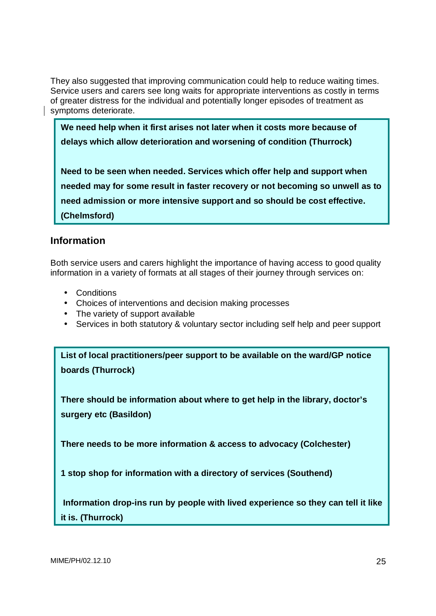They also suggested that improving communication could help to reduce waiting times. Service users and carers see long waits for appropriate interventions as costly in terms of greater distress for the individual and potentially longer episodes of treatment as symptoms deteriorate.

**We need help when it first arises not later when it costs more because of delays which allow deterioration and worsening of condition (Thurrock)** 

**Need to be seen when needed. Services which offer help and support when needed may for some result in faster recovery or not becoming so unwell as to need admission or more intensive support and so should be cost effective. (Chelmsford)**

# **Information**

Both service users and carers highlight the importance of having access to good quality information in a variety of formats at all stages of their journey through services on:

- Conditions
- Choices of interventions and decision making processes
- The variety of support available
- Services in both statutory & voluntary sector including self help and peer support

**List of local practitioners/peer support to be available on the ward/GP notice boards (Thurrock)** 

**There should be information about where to get help in the library, doctor's surgery etc (Basildon)** 

**There needs to be more information & access to advocacy (Colchester)** 

**1 stop shop for information with a directory of services (Southend)** 

 **Information drop-ins run by people with lived experience so they can tell it like it is. (Thurrock)**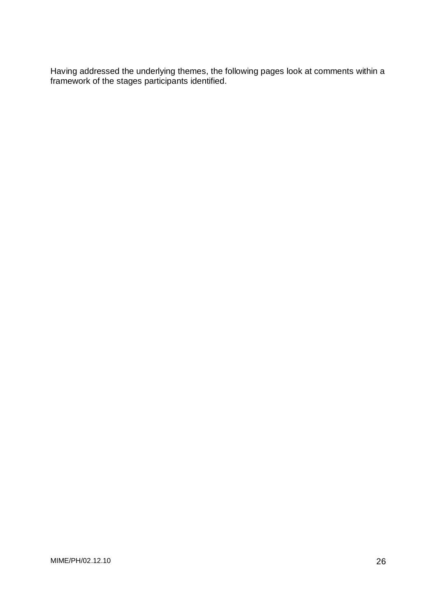Having addressed the underlying themes, the following pages look at comments within a framework of the stages participants identified.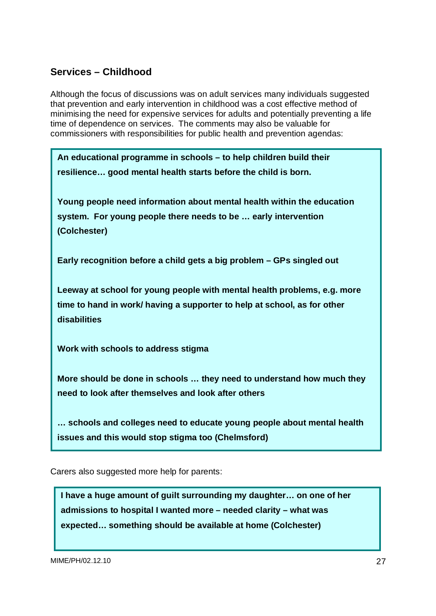# **Services – Childhood**

Although the focus of discussions was on adult services many individuals suggested that prevention and early intervention in childhood was a cost effective method of minimising the need for expensive services for adults and potentially preventing a life time of dependence on services. The comments may also be valuable for commissioners with responsibilities for public health and prevention agendas:

**An educational programme in schools – to help children build their resilience… good mental health starts before the child is born.** 

**Young people need information about mental health within the education system. For young people there needs to be … early intervention (Colchester)** 

**Early recognition before a child gets a big problem – GPs singled out** 

**Leeway at school for young people with mental health problems, e.g. more time to hand in work/ having a supporter to help at school, as for other disabilities** 

**Work with schools to address stigma** 

**More should be done in schools … they need to understand how much they need to look after themselves and look after others** 

**… schools and colleges need to educate young people about mental health issues and this would stop stigma too (Chelmsford)** 

Carers also suggested more help for parents:

**I have a huge amount of guilt surrounding my daughter… on one of her admissions to hospital I wanted more – needed clarity – what was expected… something should be available at home (Colchester)**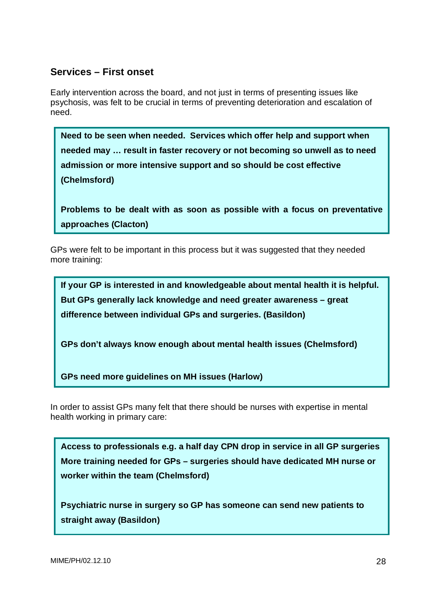### **Services – First onset**

Early intervention across the board, and not just in terms of presenting issues like psychosis, was felt to be crucial in terms of preventing deterioration and escalation of need.

**Need to be seen when needed. Services which offer help and support when needed may … result in faster recovery or not becoming so unwell as to need admission or more intensive support and so should be cost effective (Chelmsford)** 

**Problems to be dealt with as soon as possible with a focus on preventative approaches (Clacton)** 

GPs were felt to be important in this process but it was suggested that they needed more training:

**If your GP is interested in and knowledgeable about mental health it is helpful. But GPs generally lack knowledge and need greater awareness – great difference between individual GPs and surgeries. (Basildon)** 

**GPs don't always know enough about mental health issues (Chelmsford)** 

**GPs need more guidelines on MH issues (Harlow)** 

In order to assist GPs many felt that there should be nurses with expertise in mental health working in primary care:

**Access to professionals e.g. a half day CPN drop in service in all GP surgeries More training needed for GPs – surgeries should have dedicated MH nurse or worker within the team (Chelmsford)** 

**Psychiatric nurse in surgery so GP has someone can send new patients to straight away (Basildon)**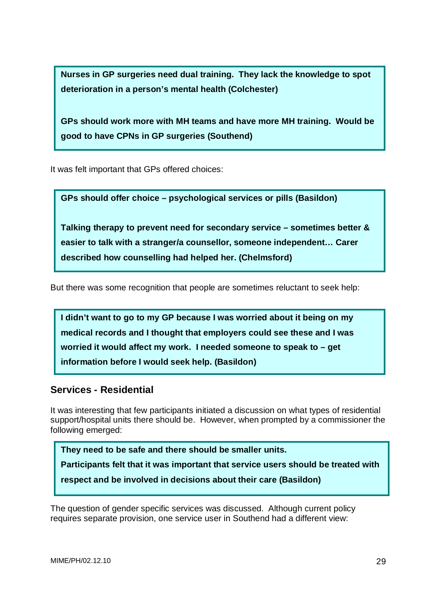**Nurses in GP surgeries need dual training. They lack the knowledge to spot deterioration in a person's mental health (Colchester)** 

**GPs should work more with MH teams and have more MH training. Would be good to have CPNs in GP surgeries (Southend)**

It was felt important that GPs offered choices:

**GPs should offer choice – psychological services or pills (Basildon)**

**Talking therapy to prevent need for secondary service – sometimes better & easier to talk with a stranger/a counsellor, someone independent… Carer described how counselling had helped her. (Chelmsford)** 

But there was some recognition that people are sometimes reluctant to seek help:

**I didn't want to go to my GP because I was worried about it being on my medical records and I thought that employers could see these and I was worried it would affect my work. I needed someone to speak to – get information before I would seek help. (Basildon)** 

### **Services - Residential**

It was interesting that few participants initiated a discussion on what types of residential support/hospital units there should be. However, when prompted by a commissioner the following emerged:

**They need to be safe and there should be smaller units.**

**Participants felt that it was important that service users should be treated with** 

**respect and be involved in decisions about their care (Basildon)** 

The question of gender specific services was discussed. Although current policy requires separate provision, one service user in Southend had a different view: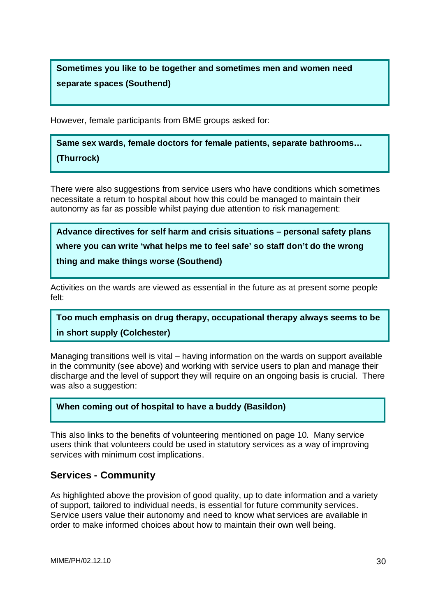**Sometimes you like to be together and sometimes men and women need separate spaces (Southend)** 

However, female participants from BME groups asked for:

**Same sex wards, female doctors for female patients, separate bathrooms… (Thurrock)** 

There were also suggestions from service users who have conditions which sometimes necessitate a return to hospital about how this could be managed to maintain their autonomy as far as possible whilst paying due attention to risk management:

**Advance directives for self harm and crisis situations – personal safety plans where you can write 'what helps me to feel safe' so staff don't do the wrong thing and make things worse (Southend)** 

Activities on the wards are viewed as essential in the future as at present some people felt:

**Too much emphasis on drug therapy, occupational therapy always seems to be in short supply (Colchester)** 

Managing transitions well is vital – having information on the wards on support available in the community (see above) and working with service users to plan and manage their discharge and the level of support they will require on an ongoing basis is crucial. There was also a suggestion:

#### **When coming out of hospital to have a buddy (Basildon)**

This also links to the benefits of volunteering mentioned on page 10. Many service users think that volunteers could be used in statutory services as a way of improving services with minimum cost implications.

### **Services - Community**

As highlighted above the provision of good quality, up to date information and a variety of support, tailored to individual needs, is essential for future community services. Service users value their autonomy and need to know what services are available in order to make informed choices about how to maintain their own well being.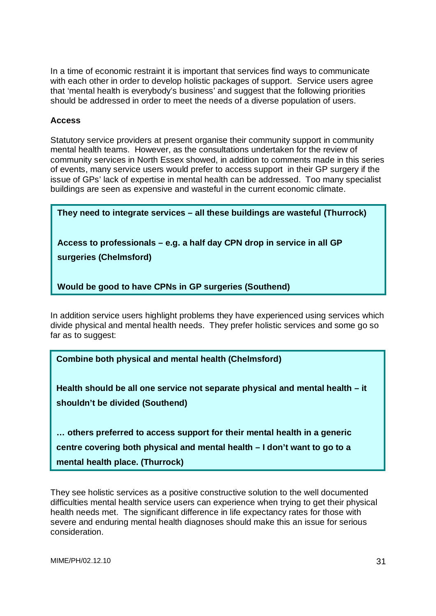In a time of economic restraint it is important that services find ways to communicate with each other in order to develop holistic packages of support. Service users agree that 'mental health is everybody's business' and suggest that the following priorities should be addressed in order to meet the needs of a diverse population of users.

#### **Access**

Statutory service providers at present organise their community support in community mental health teams. However, as the consultations undertaken for the review of community services in North Essex showed, in addition to comments made in this series of events, many service users would prefer to access support in their GP surgery if the issue of GPs' lack of expertise in mental health can be addressed. Too many specialist buildings are seen as expensive and wasteful in the current economic climate.

**They need to integrate services – all these buildings are wasteful (Thurrock) Access to professionals – e.g. a half day CPN drop in service in all GP surgeries (Chelmsford) Would be good to have CPNs in GP surgeries (Southend)** 

In addition service users highlight problems they have experienced using services which divide physical and mental health needs. They prefer holistic services and some go so far as to suggest:

**Combine both physical and mental health (Chelmsford)**

**Health should be all one service not separate physical and mental health – it shouldn't be divided (Southend)** 

**… others preferred to access support for their mental health in a generic centre covering both physical and mental health – I don't want to go to a mental health place. (Thurrock)** 

They see holistic services as a positive constructive solution to the well documented difficulties mental health service users can experience when trying to get their physical health needs met. The significant difference in life expectancy rates for those with severe and enduring mental health diagnoses should make this an issue for serious consideration.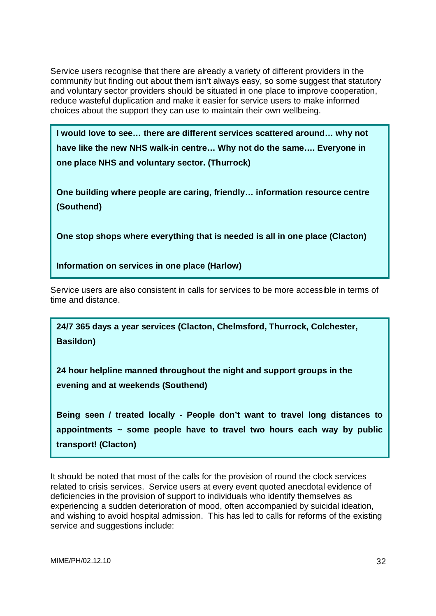Service users recognise that there are already a variety of different providers in the community but finding out about them isn't always easy, so some suggest that statutory and voluntary sector providers should be situated in one place to improve cooperation, reduce wasteful duplication and make it easier for service users to make informed choices about the support they can use to maintain their own wellbeing.

**I would love to see… there are different services scattered around… why not have like the new NHS walk-in centre… Why not do the same…. Everyone in one place NHS and voluntary sector. (Thurrock)** 

**One building where people are caring, friendly… information resource centre (Southend)** 

**One stop shops where everything that is needed is all in one place (Clacton)** 

**Information on services in one place (Harlow)** 

Service users are also consistent in calls for services to be more accessible in terms of time and distance.

**24/7 365 days a year services (Clacton, Chelmsford, Thurrock, Colchester, Basildon)** 

**24 hour helpline manned throughout the night and support groups in the evening and at weekends (Southend)** 

**Being seen / treated locally - People don't want to travel long distances to appointments ~ some people have to travel two hours each way by public transport! (Clacton)** 

It should be noted that most of the calls for the provision of round the clock services related to crisis services. Service users at every event quoted anecdotal evidence of deficiencies in the provision of support to individuals who identify themselves as experiencing a sudden deterioration of mood, often accompanied by suicidal ideation, and wishing to avoid hospital admission. This has led to calls for reforms of the existing service and suggestions include: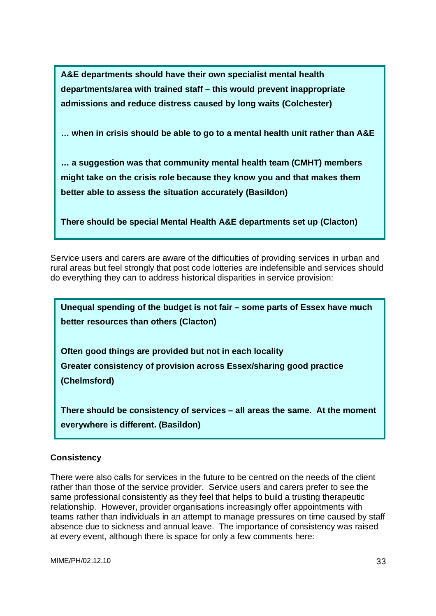**A&E departments should have their own specialist mental health departments/area with trained staff – this would prevent inappropriate admissions and reduce distress caused by long waits (Colchester)** 

**… when in crisis should be able to go to a mental health unit rather than A&E** 

**… a suggestion was that community mental health team (CMHT) members might take on the crisis role because they know you and that makes them better able to assess the situation accurately (Basildon)** 

**There should be special Mental Health A&E departments set up (Clacton)** 

Service users and carers are aware of the difficulties of providing services in urban and rural areas but feel strongly that post code lotteries are indefensible and services should do everything they can to address historical disparities in service provision:



**There should be consistency of services – all areas the same. At the moment everywhere is different. (Basildon)** 

#### **Consistency**

There were also calls for services in the future to be centred on the needs of the client rather than those of the service provider. Service users and carers prefer to see the same professional consistently as they feel that helps to build a trusting therapeutic relationship. However, provider organisations increasingly offer appointments with teams rather than individuals in an attempt to manage pressures on time caused by staff absence due to sickness and annual leave. The importance of consistency was raised at every event, although there is space for only a few comments here: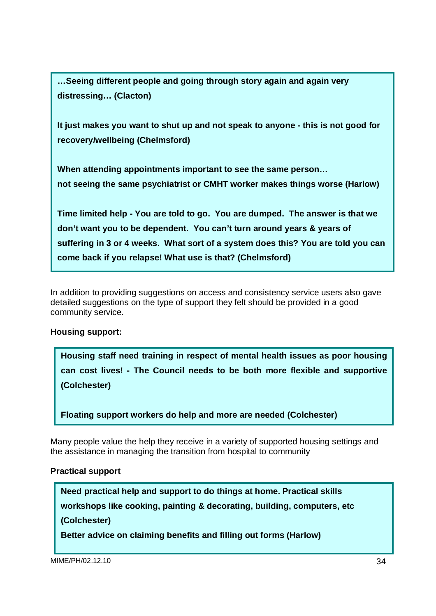**…Seeing different people and going through story again and again very distressing… (Clacton)** 

**It just makes you want to shut up and not speak to anyone - this is not good for recovery/wellbeing (Chelmsford)** 

**When attending appointments important to see the same person… not seeing the same psychiatrist or CMHT worker makes things worse (Harlow)** 

**Time limited help - You are told to go. You are dumped. The answer is that we don't want you to be dependent. You can't turn around years & years of suffering in 3 or 4 weeks. What sort of a system does this? You are told you can come back if you relapse! What use is that? (Chelmsford)**

In addition to providing suggestions on access and consistency service users also gave detailed suggestions on the type of support they felt should be provided in a good community service.

#### **Housing support:**

**Housing staff need training in respect of mental health issues as poor housing can cost lives! - The Council needs to be both more flexible and supportive (Colchester)** 

**Floating support workers do help and more are needed (Colchester)** 

Many people value the help they receive in a variety of supported housing settings and the assistance in managing the transition from hospital to community

#### **Practical support**

**Need practical help and support to do things at home. Practical skills workshops like cooking, painting & decorating, building, computers, etc (Colchester)** 

**Better advice on claiming benefits and filling out forms (Harlow)**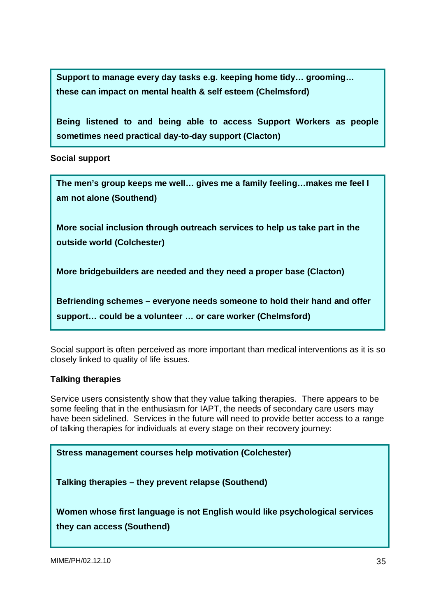**Support to manage every day tasks e.g. keeping home tidy… grooming… these can impact on mental health & self esteem (Chelmsford)** 

**Being listened to and being able to access Support Workers as people sometimes need practical day-to-day support (Clacton)** 

**Social support** 

**The men's group keeps me well… gives me a family feeling…makes me feel I am not alone (Southend) More social inclusion through outreach services to help us take part in the outside world (Colchester) More bridgebuilders are needed and they need a proper base (Clacton) Befriending schemes – everyone needs someone to hold their hand and offer support… could be a volunteer … or care worker (Chelmsford)** 

Social support is often perceived as more important than medical interventions as it is so closely linked to quality of life issues.

#### **Talking therapies**

Service users consistently show that they value talking therapies. There appears to be some feeling that in the enthusiasm for IAPT, the needs of secondary care users may have been sidelined. Services in the future will need to provide better access to a range of talking therapies for individuals at every stage on their recovery journey:

**Stress management courses help motivation (Colchester)**

**Talking therapies – they prevent relapse (Southend)**

**Women whose first language is not English would like psychological services they can access (Southend)**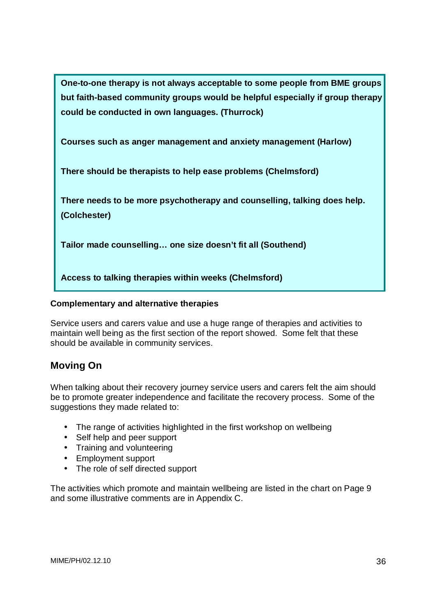**One-to-one therapy is not always acceptable to some people from BME groups but faith-based community groups would be helpful especially if group therapy could be conducted in own languages. (Thurrock)** 

**Courses such as anger management and anxiety management (Harlow)** 

**There should be therapists to help ease problems (Chelmsford)** 

**There needs to be more psychotherapy and counselling, talking does help. (Colchester)** 

**Tailor made counselling… one size doesn't fit all (Southend)** 

**Access to talking therapies within weeks (Chelmsford)** 

#### **Complementary and alternative therapies**

Service users and carers value and use a huge range of therapies and activities to maintain well being as the first section of the report showed. Some felt that these should be available in community services.

# **Moving On**

When talking about their recovery journey service users and carers felt the aim should be to promote greater independence and facilitate the recovery process. Some of the suggestions they made related to:

- The range of activities highlighted in the first workshop on wellbeing
- Self help and peer support
- Training and volunteering
- Employment support
- The role of self directed support

The activities which promote and maintain wellbeing are listed in the chart on Page 9 and some illustrative comments are in Appendix C.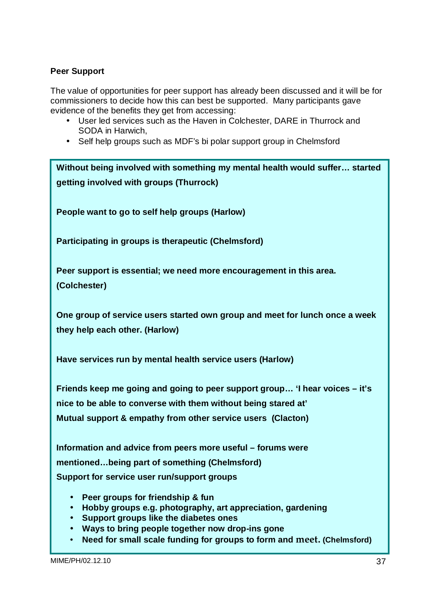#### **Peer Support**

The value of opportunities for peer support has already been discussed and it will be for commissioners to decide how this can best be supported. Many participants gave evidence of the benefits they get from accessing:

- User led services such as the Haven in Colchester, DARE in Thurrock and SODA in Harwich,
- Self help groups such as MDF's bi polar support group in Chelmsford

They also suggested that self-management was a goal for many: Support for service user run/support groups  $\blacksquare$ **Without being involved with something my mental health would suffer… started getting involved with groups (Thurrock) People want to go to self help groups (Harlow) Participating in groups is therapeutic (Chelmsford) Peer support is essential; we need more encouragement in this area. (Colchester) One group of service users started own group and meet for lunch once a week they help each other. (Harlow) Have services run by mental health service users (Harlow) Friends keep me going and going to peer support group… 'I hear voices – it's nice to be able to converse with them without being stared at' Mutual support & empathy from other service users (Clacton) Information and advice from peers more useful – forums were mentioned…being part of something (Chelmsford)** 

- **community… Peer groups for friendship & fun**
- **Hobby groups e.g. photography, art appreciation, gardening**
- **Support groups like the diabetes ones**
- **Ways to bring people together now drop-ins gone**
- Need for small scale funding for groups to form and meet. (Chelmsford)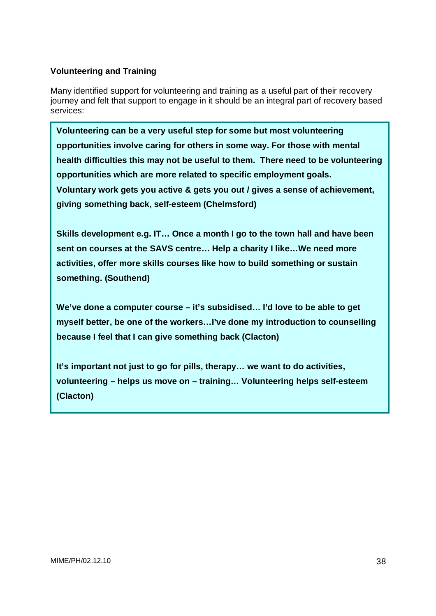#### **Volunteering and Training**

Many identified support for volunteering and training as a useful part of their recovery journey and felt that support to engage in it should be an integral part of recovery based services:

**Volunteering can be a very useful step for some but most volunteering opportunities involve caring for others in some way. For those with mental health difficulties this may not be useful to them. There need to be volunteering opportunities which are more related to specific employment goals. Voluntary work gets you active & gets you out / gives a sense of achievement, giving something back, self-esteem (Chelmsford)** 

**Skills development e.g. IT… Once a month I go to the town hall and have been sent on courses at the SAVS centre… Help a charity I like…We need more activities, offer more skills courses like how to build something or sustain something. (Southend)** 

**We've done a computer course – it's subsidised… I'd love to be able to get myself better, be one of the workers…I've done my introduction to counselling because I feel that I can give something back (Clacton)** 

**It's important not just to go for pills, therapy… we want to do activities, volunteering – helps us move on – training… Volunteering helps self-esteem (Clacton)**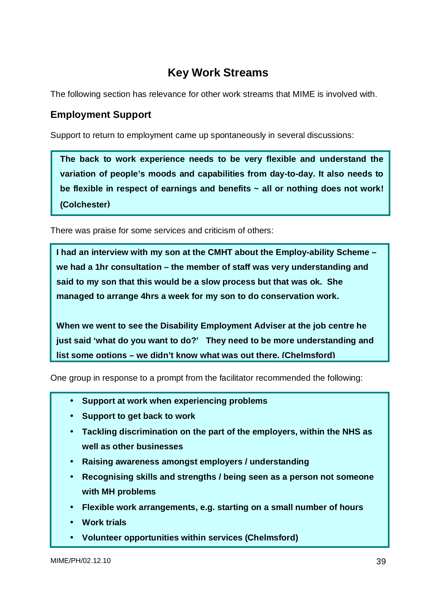# **Key Work Streams**

The following section has relevance for other work streams that MIME is involved with.

# **Employment Support**

Support to return to employment came up spontaneously in several discussions:

**The back to work experience needs to be very flexible and understand the variation of people's moods and capabilities from day-to-day. It also needs to be flexible in respect of earnings and benefits ~ all or nothing does not work! (Colchester)** 

There was praise for some services and criticism of others:

**I had an interview with my son at the CMHT about the Employ-ability Scheme – we had a 1hr consultation – the member of staff was very understanding and said to my son that this would be a slow process but that was ok. She managed to arrange 4hrs a week for my son to do conservation work.** 

**When we went to see the Disability Employment Adviser at the job centre he just said 'what do you want to do?' They need to be more understanding and list some options – we didn't know what was out there. (Chelmsford)**

One group in response to a prompt from the facilitator recommended the following:

- **Support at work when experiencing problems**
- **Support to get back to work**
- **Tackling discrimination on the part of the employers, within the NHS as well as other businesses**
- **Raising awareness amongst employers / understanding**
- **Recognising skills and strengths / being seen as a person not someone with MH problems**
- **Flexible work arrangements, e.g. starting on a small number of hours**
- **Work trials**
- **Volunteer opportunities within services (Chelmsford)**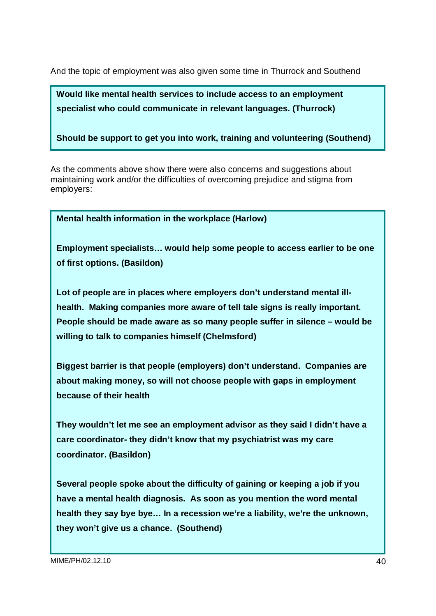And the topic of employment was also given some time in Thurrock and Southend

**Would like mental health services to include access to an employment specialist who could communicate in relevant languages. (Thurrock)** 

**Should be support to get you into work, training and volunteering (Southend)** 

As the comments above show there were also concerns and suggestions about maintaining work and/or the difficulties of overcoming prejudice and stigma from employers:

**Mental health information in the workplace (Harlow)**

**Employment specialists… would help some people to access earlier to be one of first options. (Basildon)** 

**Lot of people are in places where employers don't understand mental illhealth. Making companies more aware of tell tale signs is really important. People should be made aware as so many people suffer in silence – would be willing to talk to companies himself (Chelmsford)** 

**Biggest barrier is that people (employers) don't understand. Companies are about making money, so will not choose people with gaps in employment because of their health** 

**They wouldn't let me see an employment advisor as they said I didn't have a care coordinator- they didn't know that my psychiatrist was my care coordinator. (Basildon)** 

**Several people spoke about the difficulty of gaining or keeping a job if you have a mental health diagnosis. As soon as you mention the word mental health they say bye bye… In a recession we're a liability, we're the unknown, they won't give us a chance. (Southend)**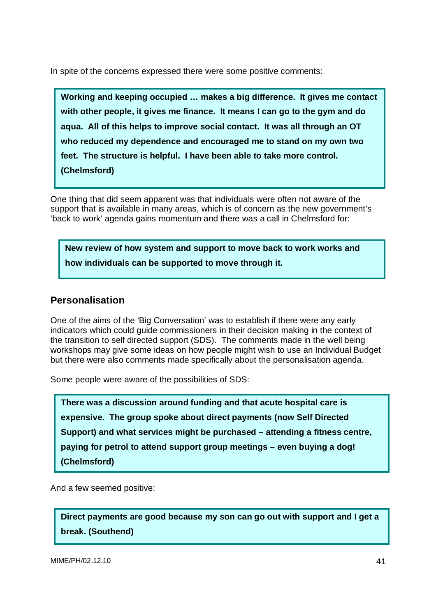In spite of the concerns expressed there were some positive comments:

**Working and keeping occupied … makes a big difference. It gives me contact with other people, it gives me finance. It means I can go to the gym and do aqua. All of this helps to improve social contact. It was all through an OT who reduced my dependence and encouraged me to stand on my own two feet. The structure is helpful. I have been able to take more control. (Chelmsford)** 

One thing that did seem apparent was that individuals were often not aware of the support that is available in many areas, which is of concern as the new government's 'back to work' agenda gains momentum and there was a call in Chelmsford for:

**New review of how system and support to move back to work works and how individuals can be supported to move through it.** 

### **Personalisation**

One of the aims of the 'Big Conversation' was to establish if there were any early indicators which could guide commissioners in their decision making in the context of the transition to self directed support (SDS). The comments made in the well being workshops may give some ideas on how people might wish to use an Individual Budget but there were also comments made specifically about the personalisation agenda.

Some people were aware of the possibilities of SDS:

**There was a discussion around funding and that acute hospital care is expensive. The group spoke about direct payments (now Self Directed Support) and what services might be purchased – attending a fitness centre, paying for petrol to attend support group meetings – even buying a dog! (Chelmsford)** 

And a few seemed positive:

**Direct payments are good because my son can go out with support and I get a break. (Southend)**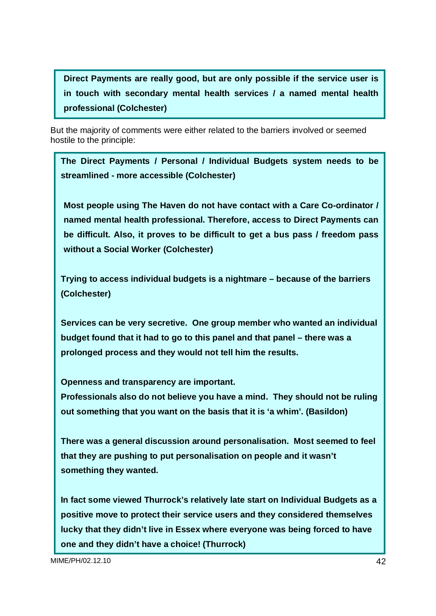**Direct Payments are really good, but are only possible if the service user is in touch with secondary mental health services / a named mental health professional (Colchester)** 

But the majority of comments were either related to the barriers involved or seemed hostile to the principle:

**The Direct Payments / Personal / Individual Budgets system needs to be streamlined - more accessible (Colchester)** 

**Most people using The Haven do not have contact with a Care Co-ordinator / named mental health professional. Therefore, access to Direct Payments can be difficult. Also, it proves to be difficult to get a bus pass / freedom pass without a Social Worker (Colchester)** 

**Trying to access individual budgets is a nightmare – because of the barriers (Colchester)** 

**Services can be very secretive. One group member who wanted an individual budget found that it had to go to this panel and that panel – there was a prolonged process and they would not tell him the results.** 

**Openness and transparency are important.** 

**Professionals also do not believe you have a mind. They should not be ruling out something that you want on the basis that it is 'a whim'. (Basildon)** 

**There was a general discussion around personalisation. Most seemed to feel that they are pushing to put personalisation on people and it wasn't something they wanted.** 

**In fact some viewed Thurrock's relatively late start on Individual Budgets as a positive move to protect their service users and they considered themselves lucky that they didn't live in Essex where everyone was being forced to have one and they didn't have a choice! (Thurrock)**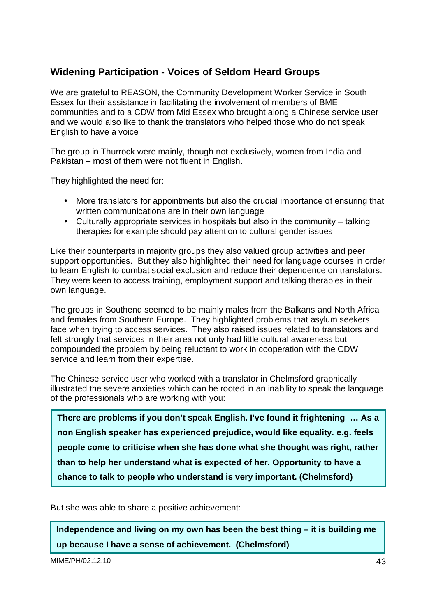# **Widening Participation - Voices of Seldom Heard Groups**

We are grateful to REASON, the Community Development Worker Service in South Essex for their assistance in facilitating the involvement of members of BME communities and to a CDW from Mid Essex who brought along a Chinese service user and we would also like to thank the translators who helped those who do not speak English to have a voice

The group in Thurrock were mainly, though not exclusively, women from India and Pakistan – most of them were not fluent in English.

They highlighted the need for:

- More translators for appointments but also the crucial importance of ensuring that written communications are in their own language
- Culturally appropriate services in hospitals but also in the community talking therapies for example should pay attention to cultural gender issues

Like their counterparts in majority groups they also valued group activities and peer support opportunities. But they also highlighted their need for language courses in order to learn English to combat social exclusion and reduce their dependence on translators. They were keen to access training, employment support and talking therapies in their own language.

The groups in Southend seemed to be mainly males from the Balkans and North Africa and females from Southern Europe. They highlighted problems that asylum seekers face when trying to access services. They also raised issues related to translators and felt strongly that services in their area not only had little cultural awareness but compounded the problem by being reluctant to work in cooperation with the CDW service and learn from their expertise.

The Chinese service user who worked with a translator in Chelmsford graphically illustrated the severe anxieties which can be rooted in an inability to speak the language of the professionals who are working with you:

**There are problems if you don't speak English. I've found it frightening … As a non English speaker has experienced prejudice, would like equality. e.g. feels people come to criticise when she has done what she thought was right, rather than to help her understand what is expected of her. Opportunity to have a chance to talk to people who understand is very important. (Chelmsford)** 

But she was able to share a positive achievement:

**Independence and living on my own has been the best thing – it is building me up because I have a sense of achievement. (Chelmsford)** 

MIME/PH/02.12.10 43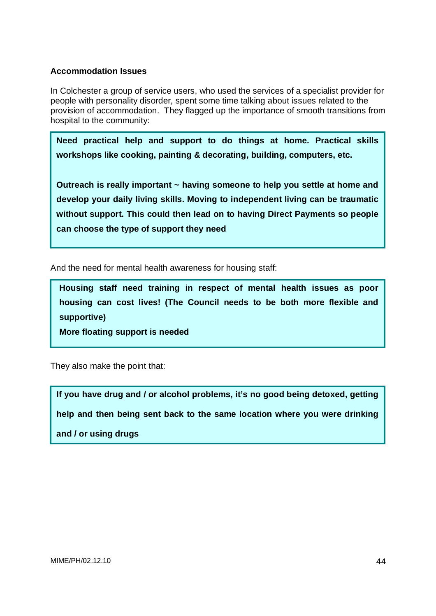#### **Accommodation Issues**

In Colchester a group of service users, who used the services of a specialist provider for people with personality disorder, spent some time talking about issues related to the provision of accommodation. They flagged up the importance of smooth transitions from hospital to the community:

**Need practical help and support to do things at home. Practical skills workshops like cooking, painting & decorating, building, computers, etc.** 

**Outreach is really important ~ having someone to help you settle at home and develop your daily living skills. Moving to independent living can be traumatic without support. This could then lead on to having Direct Payments so people can choose the type of support they need**

And the need for mental health awareness for housing staff:

**Housing staff need training in respect of mental health issues as poor housing can cost lives! (The Council needs to be both more flexible and supportive)** 

**More floating support is needed** 

They also make the point that:

I

**If you have drug and / or alcohol problems, it's no good being detoxed, getting help and then being sent back to the same location where you were drinking and / or using drugs**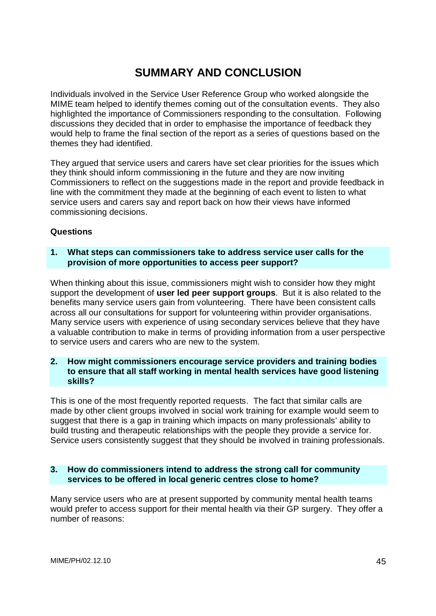# **SUMMARY AND CONCLUSION**

Individuals involved in the Service User Reference Group who worked alongside the MIME team helped to identify themes coming out of the consultation events. They also highlighted the importance of Commissioners responding to the consultation. Following discussions they decided that in order to emphasise the importance of feedback they would help to frame the final section of the report as a series of questions based on the themes they had identified.

They argued that service users and carers have set clear priorities for the issues which they think should inform commissioning in the future and they are now inviting Commissioners to reflect on the suggestions made in the report and provide feedback in line with the commitment they made at the beginning of each event to listen to what service users and carers say and report back on how their views have informed commissioning decisions.

#### **Questions**

#### **1. What steps can commissioners take to address service user calls for the provision of more opportunities to access peer support?**

When thinking about this issue, commissioners might wish to consider how they might support the development of **user led peer support groups**. But it is also related to the benefits many service users gain from volunteering. There have been consistent calls across all our consultations for support for volunteering within provider organisations. Many service users with experience of using secondary services believe that they have a valuable contribution to make in terms of providing information from a user perspective to service users and carers who are new to the system.

#### **2. How might commissioners encourage service providers and training bodies to ensure that all staff working in mental health services have good listening skills?**

This is one of the most frequently reported requests. The fact that similar calls are made by other client groups involved in social work training for example would seem to suggest that there is a gap in training which impacts on many professionals' ability to build trusting and therapeutic relationships with the people they provide a service for. Service users consistently suggest that they should be involved in training professionals.

#### **3. How do commissioners intend to address the strong call for community services to be offered in local generic centres close to home?**

Many service users who are at present supported by community mental health teams would prefer to access support for their mental health via their GP surgery. They offer a number of reasons: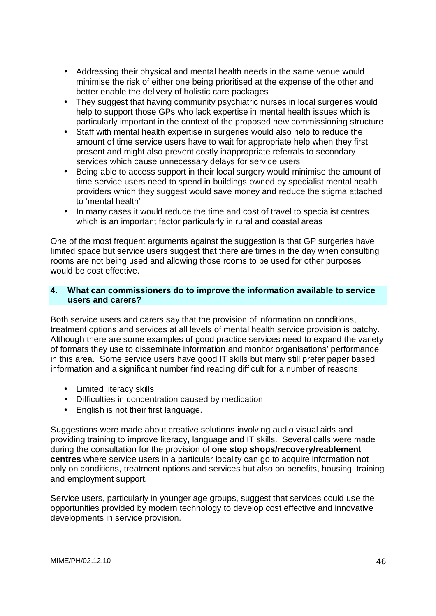- Addressing their physical and mental health needs in the same venue would minimise the risk of either one being prioritised at the expense of the other and better enable the delivery of holistic care packages
- They suggest that having community psychiatric nurses in local surgeries would help to support those GPs who lack expertise in mental health issues which is particularly important in the context of the proposed new commissioning structure
- Staff with mental health expertise in surgeries would also help to reduce the amount of time service users have to wait for appropriate help when they first present and might also prevent costly inappropriate referrals to secondary services which cause unnecessary delays for service users
- Being able to access support in their local surgery would minimise the amount of time service users need to spend in buildings owned by specialist mental health providers which they suggest would save money and reduce the stigma attached to 'mental health'
- In many cases it would reduce the time and cost of travel to specialist centres which is an important factor particularly in rural and coastal areas

One of the most frequent arguments against the suggestion is that GP surgeries have limited space but service users suggest that there are times in the day when consulting rooms are not being used and allowing those rooms to be used for other purposes would be cost effective.

#### **4. What can commissioners do to improve the information available to service users and carers?**

Both service users and carers say that the provision of information on conditions, treatment options and services at all levels of mental health service provision is patchy. Although there are some examples of good practice services need to expand the variety of formats they use to disseminate information and monitor organisations' performance in this area. Some service users have good IT skills but many still prefer paper based information and a significant number find reading difficult for a number of reasons:

- Limited literacy skills
- Difficulties in concentration caused by medication
- English is not their first language.

Suggestions were made about creative solutions involving audio visual aids and providing training to improve literacy, language and IT skills. Several calls were made during the consultation for the provision of **one stop shops/recovery/reablement centres** where service users in a particular locality can go to acquire information not only on conditions, treatment options and services but also on benefits, housing, training and employment support.

Service users, particularly in younger age groups, suggest that services could use the opportunities provided by modern technology to develop cost effective and innovative developments in service provision.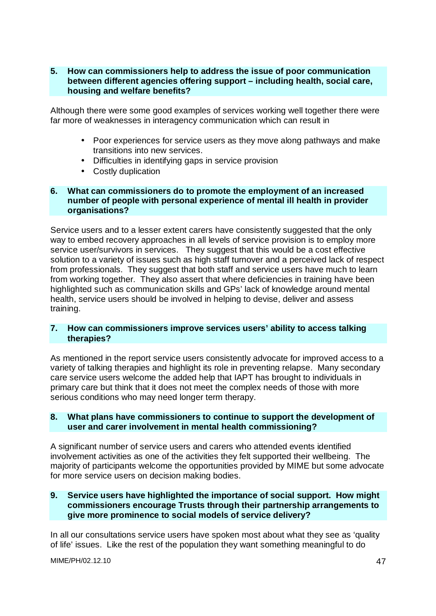#### **5. How can commissioners help to address the issue of poor communication between different agencies offering support – including health, social care, housing and welfare benefits?**

Although there were some good examples of services working well together there were far more of weaknesses in interagency communication which can result in

- Poor experiences for service users as they move along pathways and make transitions into new services.
- Difficulties in identifying gaps in service provision
- Costly duplication

#### **6. What can commissioners do to promote the employment of an increased number of people with personal experience of mental ill health in provider organisations?**

Service users and to a lesser extent carers have consistently suggested that the only way to embed recovery approaches in all levels of service provision is to employ more service user/survivors in services. They suggest that this would be a cost effective solution to a variety of issues such as high staff turnover and a perceived lack of respect from professionals. They suggest that both staff and service users have much to learn from working together. They also assert that where deficiencies in training have been highlighted such as communication skills and GPs' lack of knowledge around mental health, service users should be involved in helping to devise, deliver and assess training.

#### **7. How can commissioners improve services users' ability to access talking therapies?**

As mentioned in the report service users consistently advocate for improved access to a variety of talking therapies and highlight its role in preventing relapse. Many secondary care service users welcome the added help that IAPT has brought to individuals in primary care but think that it does not meet the complex needs of those with more serious conditions who may need longer term therapy.

#### **8. What plans have commissioners to continue to support the development of user and carer involvement in mental health commissioning?**

A significant number of service users and carers who attended events identified involvement activities as one of the activities they felt supported their wellbeing. The majority of participants welcome the opportunities provided by MIME but some advocate for more service users on decision making bodies.

#### **9. Service users have highlighted the importance of social support. How might commissioners encourage Trusts through their partnership arrangements to give more prominence to social models of service delivery?**

In all our consultations service users have spoken most about what they see as 'quality of life' issues. Like the rest of the population they want something meaningful to do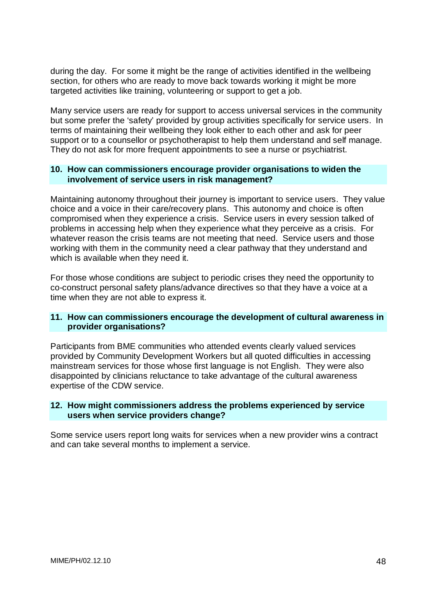during the day. For some it might be the range of activities identified in the wellbeing section, for others who are ready to move back towards working it might be more targeted activities like training, volunteering or support to get a job.

Many service users are ready for support to access universal services in the community but some prefer the 'safety' provided by group activities specifically for service users. In terms of maintaining their wellbeing they look either to each other and ask for peer support or to a counsellor or psychotherapist to help them understand and self manage. They do not ask for more frequent appointments to see a nurse or psychiatrist.

#### **10. How can commissioners encourage provider organisations to widen the involvement of service users in risk management?**

Maintaining autonomy throughout their journey is important to service users. They value choice and a voice in their care/recovery plans. This autonomy and choice is often compromised when they experience a crisis. Service users in every session talked of problems in accessing help when they experience what they perceive as a crisis. For whatever reason the crisis teams are not meeting that need. Service users and those working with them in the community need a clear pathway that they understand and which is available when they need it.

For those whose conditions are subject to periodic crises they need the opportunity to co-construct personal safety plans/advance directives so that they have a voice at a time when they are not able to express it.

#### **11. How can commissioners encourage the development of cultural awareness in provider organisations?**

Participants from BME communities who attended events clearly valued services provided by Community Development Workers but all quoted difficulties in accessing mainstream services for those whose first language is not English. They were also disappointed by clinicians reluctance to take advantage of the cultural awareness expertise of the CDW service.

#### **12. How might commissioners address the problems experienced by service users when service providers change?**

Some service users report long waits for services when a new provider wins a contract and can take several months to implement a service.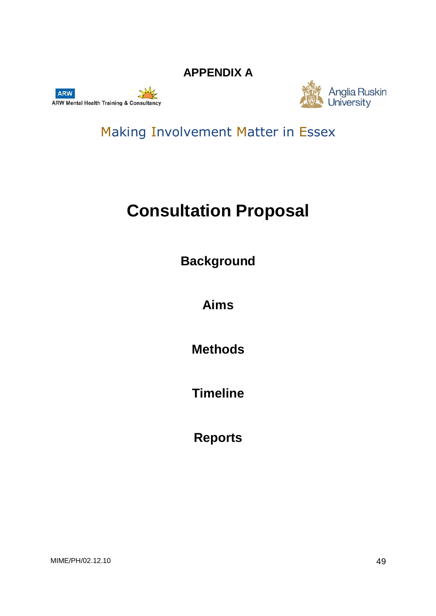**APPENDIX A** 





Making Involvement Matter in Essex

# **Consultation Proposal**

**Background** 

**Aims** 

**Methods** 

**Timeline** 

**Reports**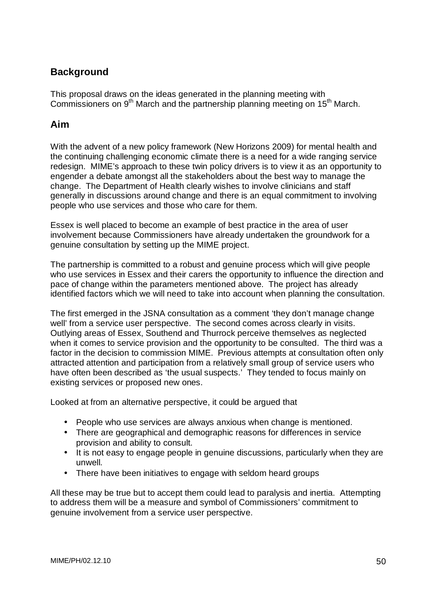# **Background**

This proposal draws on the ideas generated in the planning meeting with Commissioners on 9<sup>th</sup> March and the partnership planning meeting on 15<sup>th</sup> March.

### **Aim**

With the advent of a new policy framework (New Horizons 2009) for mental health and the continuing challenging economic climate there is a need for a wide ranging service redesign. MIME's approach to these twin policy drivers is to view it as an opportunity to engender a debate amongst all the stakeholders about the best way to manage the change. The Department of Health clearly wishes to involve clinicians and staff generally in discussions around change and there is an equal commitment to involving people who use services and those who care for them.

Essex is well placed to become an example of best practice in the area of user involvement because Commissioners have already undertaken the groundwork for a genuine consultation by setting up the MIME project.

The partnership is committed to a robust and genuine process which will give people who use services in Essex and their carers the opportunity to influence the direction and pace of change within the parameters mentioned above. The project has already identified factors which we will need to take into account when planning the consultation.

The first emerged in the JSNA consultation as a comment 'they don't manage change well' from a service user perspective. The second comes across clearly in visits. Outlying areas of Essex, Southend and Thurrock perceive themselves as neglected when it comes to service provision and the opportunity to be consulted. The third was a factor in the decision to commission MIME. Previous attempts at consultation often only attracted attention and participation from a relatively small group of service users who have often been described as 'the usual suspects.' They tended to focus mainly on existing services or proposed new ones.

Looked at from an alternative perspective, it could be argued that

- People who use services are always anxious when change is mentioned.
- There are geographical and demographic reasons for differences in service provision and ability to consult.
- It is not easy to engage people in genuine discussions, particularly when they are unwell.
- There have been initiatives to engage with seldom heard groups

All these may be true but to accept them could lead to paralysis and inertia. Attempting to address them will be a measure and symbol of Commissioners' commitment to genuine involvement from a service user perspective.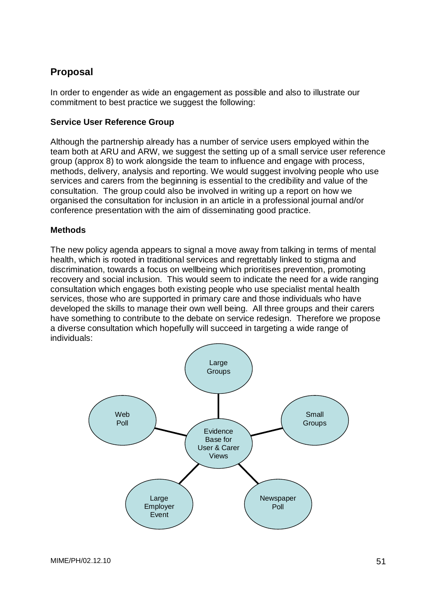# **Proposal**

In order to engender as wide an engagement as possible and also to illustrate our commitment to best practice we suggest the following:

#### **Service User Reference Group**

Although the partnership already has a number of service users employed within the team both at ARU and ARW, we suggest the setting up of a small service user reference group (approx 8) to work alongside the team to influence and engage with process, methods, delivery, analysis and reporting. We would suggest involving people who use services and carers from the beginning is essential to the credibility and value of the consultation. The group could also be involved in writing up a report on how we organised the consultation for inclusion in an article in a professional journal and/or conference presentation with the aim of disseminating good practice.

#### **Methods**

The new policy agenda appears to signal a move away from talking in terms of mental health, which is rooted in traditional services and regrettably linked to stigma and discrimination, towards a focus on wellbeing which prioritises prevention, promoting recovery and social inclusion. This would seem to indicate the need for a wide ranging consultation which engages both existing people who use specialist mental health services, those who are supported in primary care and those individuals who have developed the skills to manage their own well being. All three groups and their carers have something to contribute to the debate on service redesign. Therefore we propose a diverse consultation which hopefully will succeed in targeting a wide range of individuals:

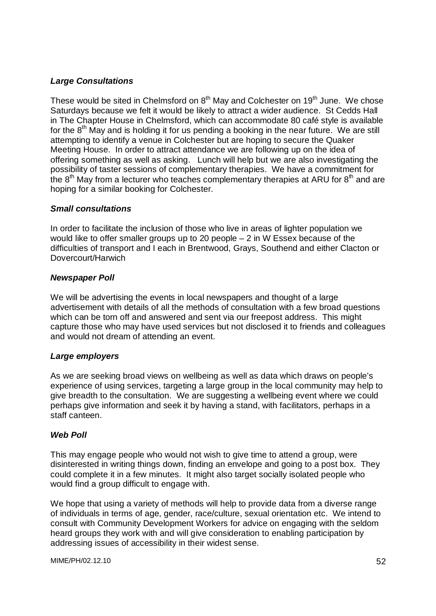#### **Large Consultations**

These would be sited in Chelmsford on  $8<sup>th</sup>$  May and Colchester on 19<sup>th</sup> June. We chose Saturdays because we felt it would be likely to attract a wider audience. St Cedds Hall in The Chapter House in Chelmsford, which can accommodate 80 café style is available for the  $8<sup>th</sup>$  May and is holding it for us pending a booking in the near future. We are still attempting to identify a venue in Colchester but are hoping to secure the Quaker Meeting House. In order to attract attendance we are following up on the idea of offering something as well as asking. Lunch will help but we are also investigating the possibility of taster sessions of complementary therapies. We have a commitment for the  $8<sup>th</sup>$  May from a lecturer who teaches complementary therapies at ARU for  $8<sup>th</sup>$  and are hoping for a similar booking for Colchester.

#### **Small consultations**

In order to facilitate the inclusion of those who live in areas of lighter population we would like to offer smaller groups up to 20 people – 2 in W Essex because of the difficulties of transport and I each in Brentwood, Grays, Southend and either Clacton or Dovercourt/Harwich

#### **Newspaper Poll**

We will be advertising the events in local newspapers and thought of a large advertisement with details of all the methods of consultation with a few broad questions which can be torn off and answered and sent via our freepost address. This might capture those who may have used services but not disclosed it to friends and colleagues and would not dream of attending an event.

#### **Large employers**

As we are seeking broad views on wellbeing as well as data which draws on people's experience of using services, targeting a large group in the local community may help to give breadth to the consultation. We are suggesting a wellbeing event where we could perhaps give information and seek it by having a stand, with facilitators, perhaps in a staff canteen.

#### **Web Poll**

This may engage people who would not wish to give time to attend a group, were disinterested in writing things down, finding an envelope and going to a post box. They could complete it in a few minutes. It might also target socially isolated people who would find a group difficult to engage with.

We hope that using a variety of methods will help to provide data from a diverse range of individuals in terms of age, gender, race/culture, sexual orientation etc. We intend to consult with Community Development Workers for advice on engaging with the seldom heard groups they work with and will give consideration to enabling participation by addressing issues of accessibility in their widest sense.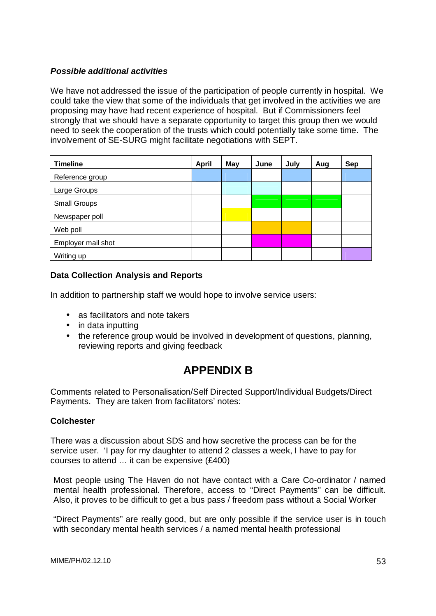#### **Possible additional activities**

We have not addressed the issue of the participation of people currently in hospital. We could take the view that some of the individuals that get involved in the activities we are proposing may have had recent experience of hospital. But if Commissioners feel strongly that we should have a separate opportunity to target this group then we would need to seek the cooperation of the trusts which could potentially take some time. The involvement of SE-SURG might facilitate negotiations with SEPT.

| <b>Timeline</b>    | <b>April</b> | <b>May</b> | June | July | Aug | Sep |
|--------------------|--------------|------------|------|------|-----|-----|
| Reference group    |              |            |      |      |     |     |
| Large Groups       |              |            |      |      |     |     |
| Small Groups       |              |            |      |      |     |     |
| Newspaper poll     |              |            |      |      |     |     |
| Web poll           |              |            |      |      |     |     |
| Employer mail shot |              |            |      |      |     |     |
| Writing up         |              |            |      |      |     |     |

#### **Data Collection Analysis and Reports**

In addition to partnership staff we would hope to involve service users:

- as facilitators and note takers
- in data inputting
- the reference group would be involved in development of questions, planning, reviewing reports and giving feedback

# **APPENDIX B**

Comments related to Personalisation/Self Directed Support/Individual Budgets/Direct Payments. They are taken from facilitators' notes:

#### **Colchester**

There was a discussion about SDS and how secretive the process can be for the service user. 'I pay for my daughter to attend 2 classes a week, I have to pay for courses to attend … it can be expensive (£400)

Most people using The Haven do not have contact with a Care Co-ordinator / named mental health professional. Therefore, access to "Direct Payments" can be difficult. Also, it proves to be difficult to get a bus pass / freedom pass without a Social Worker

"Direct Payments" are really good, but are only possible if the service user is in touch with secondary mental health services / a named mental health professional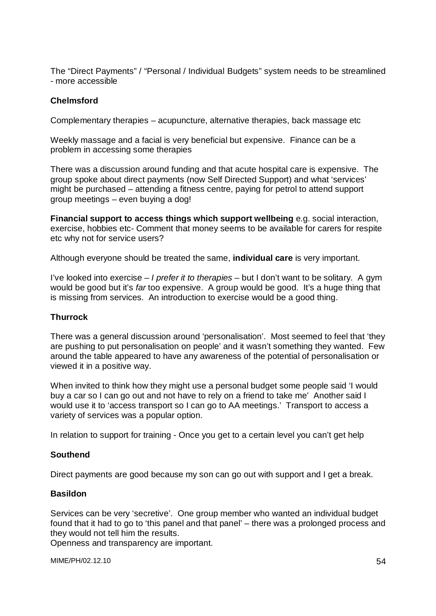The "Direct Payments" / "Personal / Individual Budgets" system needs to be streamlined - more accessible

#### **Chelmsford**

Complementary therapies – acupuncture, alternative therapies, back massage etc

Weekly massage and a facial is very beneficial but expensive. Finance can be a problem in accessing some therapies

There was a discussion around funding and that acute hospital care is expensive. The group spoke about direct payments (now Self Directed Support) and what 'services' might be purchased – attending a fitness centre, paying for petrol to attend support group meetings – even buying a dog!

**Financial support to access things which support wellbeing** e.g. social interaction, exercise, hobbies etc- Comment that money seems to be available for carers for respite etc why not for service users?

Although everyone should be treated the same, **individual care** is very important.

I've looked into exercise – I prefer it to therapies – but I don't want to be solitary. A gym would be good but it's far too expensive. A group would be good. It's a huge thing that is missing from services. An introduction to exercise would be a good thing.

#### **Thurrock**

There was a general discussion around 'personalisation'. Most seemed to feel that 'they are pushing to put personalisation on people' and it wasn't something they wanted. Few around the table appeared to have any awareness of the potential of personalisation or viewed it in a positive way.

When invited to think how they might use a personal budget some people said 'I would buy a car so I can go out and not have to rely on a friend to take me' Another said I would use it to 'access transport so I can go to AA meetings.' Transport to access a variety of services was a popular option.

In relation to support for training - Once you get to a certain level you can't get help

#### **Southend**

Direct payments are good because my son can go out with support and I get a break.

#### **Basildon**

Services can be very 'secretive'. One group member who wanted an individual budget found that it had to go to 'this panel and that panel' – there was a prolonged process and they would not tell him the results.

Openness and transparency are important.

MIME/PH/02.12.10 54